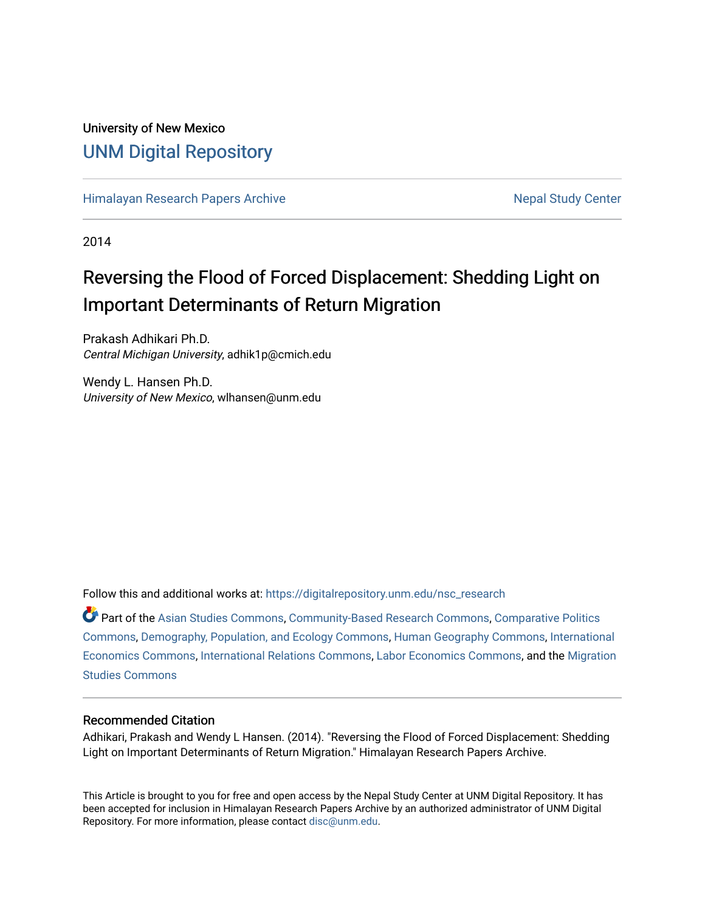# University of New Mexico [UNM Digital Repository](https://digitalrepository.unm.edu/)

[Himalayan Research Papers Archive](https://digitalrepository.unm.edu/nsc_research) Nepal Study Center

2014

# Reversing the Flood of Forced Displacement: Shedding Light on Important Determinants of Return Migration

Prakash Adhikari Ph.D. Central Michigan University, adhik1p@cmich.edu

Wendy L. Hansen Ph.D. University of New Mexico, wlhansen@unm.edu

Follow this and additional works at: [https://digitalrepository.unm.edu/nsc\\_research](https://digitalrepository.unm.edu/nsc_research?utm_source=digitalrepository.unm.edu%2Fnsc_research%2F93&utm_medium=PDF&utm_campaign=PDFCoverPages)

Part of the [Asian Studies Commons,](https://network.bepress.com/hgg/discipline/361?utm_source=digitalrepository.unm.edu%2Fnsc_research%2F93&utm_medium=PDF&utm_campaign=PDFCoverPages) [Community-Based Research Commons](https://network.bepress.com/hgg/discipline/1047?utm_source=digitalrepository.unm.edu%2Fnsc_research%2F93&utm_medium=PDF&utm_campaign=PDFCoverPages), [Comparative Politics](https://network.bepress.com/hgg/discipline/388?utm_source=digitalrepository.unm.edu%2Fnsc_research%2F93&utm_medium=PDF&utm_campaign=PDFCoverPages) [Commons](https://network.bepress.com/hgg/discipline/388?utm_source=digitalrepository.unm.edu%2Fnsc_research%2F93&utm_medium=PDF&utm_campaign=PDFCoverPages), [Demography, Population, and Ecology Commons,](https://network.bepress.com/hgg/discipline/418?utm_source=digitalrepository.unm.edu%2Fnsc_research%2F93&utm_medium=PDF&utm_campaign=PDFCoverPages) [Human Geography Commons,](https://network.bepress.com/hgg/discipline/356?utm_source=digitalrepository.unm.edu%2Fnsc_research%2F93&utm_medium=PDF&utm_campaign=PDFCoverPages) [International](https://network.bepress.com/hgg/discipline/348?utm_source=digitalrepository.unm.edu%2Fnsc_research%2F93&utm_medium=PDF&utm_campaign=PDFCoverPages)  [Economics Commons,](https://network.bepress.com/hgg/discipline/348?utm_source=digitalrepository.unm.edu%2Fnsc_research%2F93&utm_medium=PDF&utm_campaign=PDFCoverPages) [International Relations Commons,](https://network.bepress.com/hgg/discipline/389?utm_source=digitalrepository.unm.edu%2Fnsc_research%2F93&utm_medium=PDF&utm_campaign=PDFCoverPages) [Labor Economics Commons](https://network.bepress.com/hgg/discipline/349?utm_source=digitalrepository.unm.edu%2Fnsc_research%2F93&utm_medium=PDF&utm_campaign=PDFCoverPages), and the [Migration](https://network.bepress.com/hgg/discipline/1394?utm_source=digitalrepository.unm.edu%2Fnsc_research%2F93&utm_medium=PDF&utm_campaign=PDFCoverPages) [Studies Commons](https://network.bepress.com/hgg/discipline/1394?utm_source=digitalrepository.unm.edu%2Fnsc_research%2F93&utm_medium=PDF&utm_campaign=PDFCoverPages) 

#### Recommended Citation

Adhikari, Prakash and Wendy L Hansen. (2014). "Reversing the Flood of Forced Displacement: Shedding Light on Important Determinants of Return Migration." Himalayan Research Papers Archive.

This Article is brought to you for free and open access by the Nepal Study Center at UNM Digital Repository. It has been accepted for inclusion in Himalayan Research Papers Archive by an authorized administrator of UNM Digital Repository. For more information, please contact [disc@unm.edu](mailto:disc@unm.edu).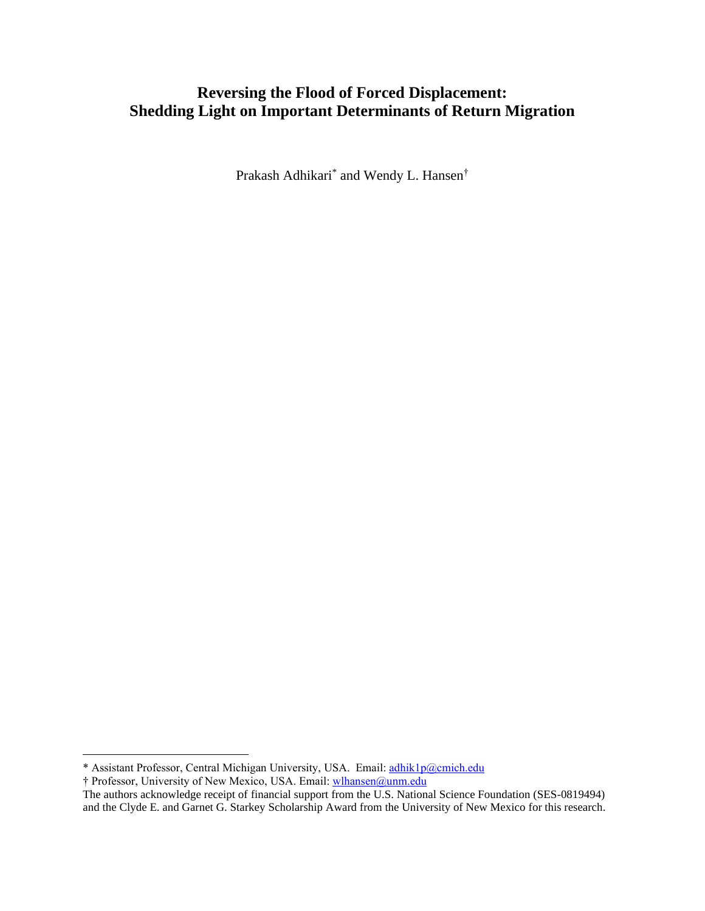# **Reversing the Flood of Forced Displacement: Shedding Light on Important Determinants of Return Migration**

Prakash Adhikari<sup>\*</sup> and Wendy L. Hansen<sup>†</sup>

† Professor, University of New Mexico, USA. Email: [wlhansen@unm.edu](mailto:wlhansen@unm.edu)

<sup>\*</sup> Assistant Professor, Central Michigan University, USA. Email: [adhik1p@cmich.edu](mailto:adhik1p@cmich.edu)

The authors acknowledge receipt of financial support from the U.S. National Science Foundation (SES-0819494) and the Clyde E. and Garnet G. Starkey Scholarship Award from the University of New Mexico for this research.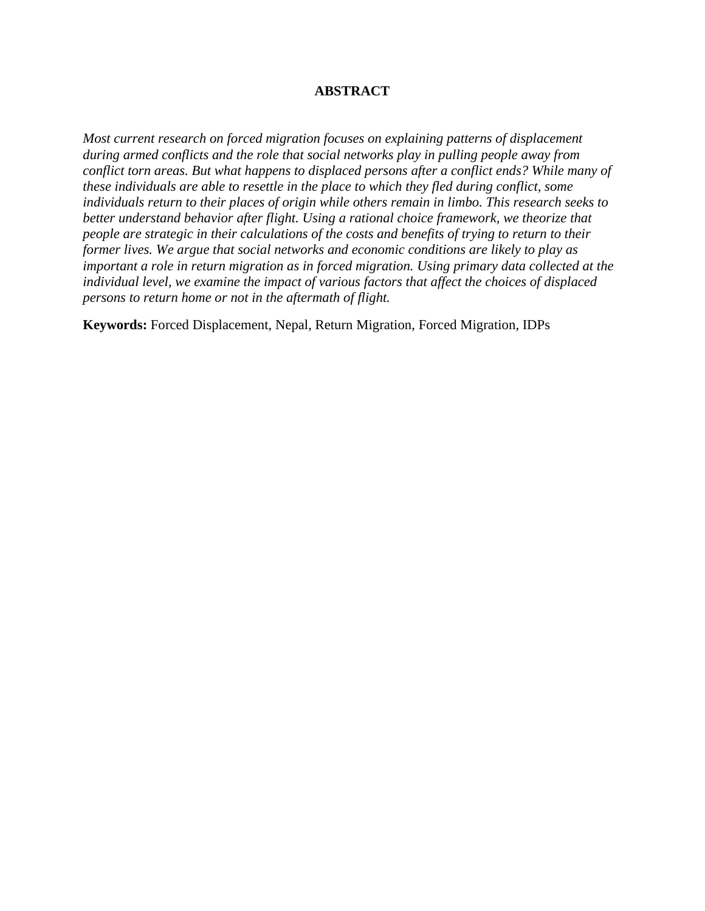# **ABSTRACT**

*Most current research on forced migration focuses on explaining patterns of displacement during armed conflicts and the role that social networks play in pulling people away from conflict torn areas. But what happens to displaced persons after a conflict ends? While many of these individuals are able to resettle in the place to which they fled during conflict, some individuals return to their places of origin while others remain in limbo. This research seeks to better understand behavior after flight. Using a rational choice framework, we theorize that people are strategic in their calculations of the costs and benefits of trying to return to their former lives. We argue that social networks and economic conditions are likely to play as important a role in return migration as in forced migration. Using primary data collected at the individual level, we examine the impact of various factors that affect the choices of displaced persons to return home or not in the aftermath of flight.*

**Keywords:** Forced Displacement, Nepal, Return Migration, Forced Migration, IDPs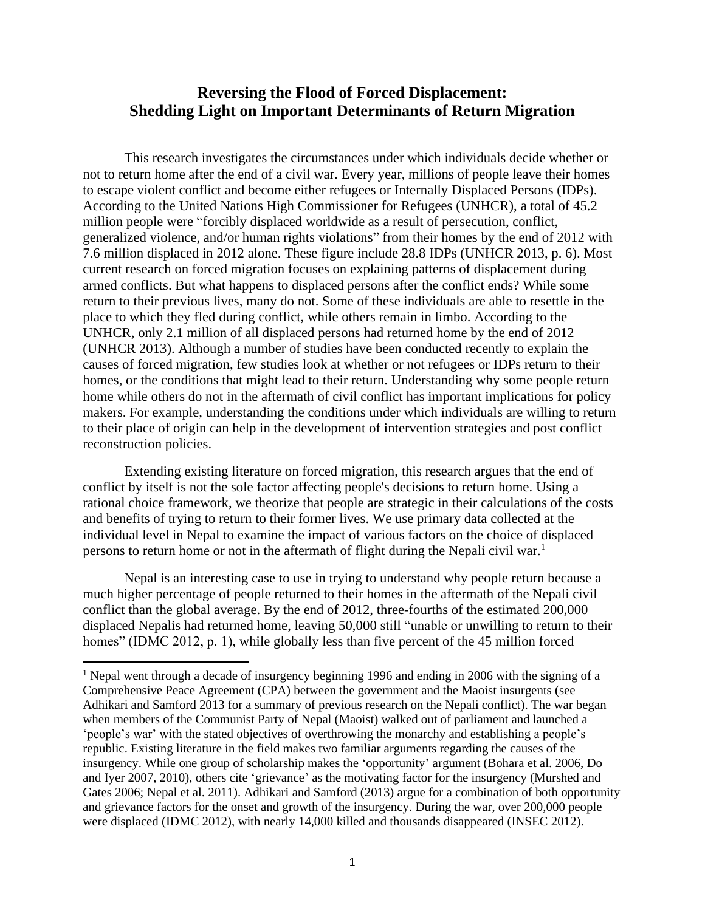# **Reversing the Flood of Forced Displacement: Shedding Light on Important Determinants of Return Migration**

This research investigates the circumstances under which individuals decide whether or not to return home after the end of a civil war. Every year, millions of people leave their homes to escape violent conflict and become either refugees or Internally Displaced Persons (IDPs). According to the United Nations High Commissioner for Refugees (UNHCR), a total of 45.2 million people were "forcibly displaced worldwide as a result of persecution, conflict, generalized violence, and/or human rights violations" from their homes by the end of 2012 with 7.6 million displaced in 2012 alone. These figure include 28.8 IDPs (UNHCR 2013, p. 6). Most current research on forced migration focuses on explaining patterns of displacement during armed conflicts. But what happens to displaced persons after the conflict ends? While some return to their previous lives, many do not. Some of these individuals are able to resettle in the place to which they fled during conflict, while others remain in limbo. According to the UNHCR, only 2.1 million of all displaced persons had returned home by the end of 2012 (UNHCR 2013). Although a number of studies have been conducted recently to explain the causes of forced migration, few studies look at whether or not refugees or IDPs return to their homes, or the conditions that might lead to their return. Understanding why some people return home while others do not in the aftermath of civil conflict has important implications for policy makers. For example, understanding the conditions under which individuals are willing to return to their place of origin can help in the development of intervention strategies and post conflict reconstruction policies.

Extending existing literature on forced migration, this research argues that the end of conflict by itself is not the sole factor affecting people's decisions to return home. Using a rational choice framework, we theorize that people are strategic in their calculations of the costs and benefits of trying to return to their former lives. We use primary data collected at the individual level in Nepal to examine the impact of various factors on the choice of displaced persons to return home or not in the aftermath of flight during the Nepali civil war.<sup>1</sup>

Nepal is an interesting case to use in trying to understand why people return because a much higher percentage of people returned to their homes in the aftermath of the Nepali civil conflict than the global average. By the end of 2012, three-fourths of the estimated 200,000 displaced Nepalis had returned home, leaving 50,000 still "unable or unwilling to return to their homes" (IDMC 2012, p. 1), while globally less than five percent of the 45 million forced

<sup>&</sup>lt;sup>1</sup> Nepal went through a decade of insurgency beginning 1996 and ending in 2006 with the signing of a Comprehensive Peace Agreement (CPA) between the government and the Maoist insurgents (see Adhikari and Samford 2013 for a summary of previous research on the Nepali conflict). The war began when members of the Communist Party of Nepal (Maoist) walked out of parliament and launched a 'people's war' with the stated objectives of overthrowing the monarchy and establishing a people's republic. Existing literature in the field makes two familiar arguments regarding the causes of the insurgency. While one group of scholarship makes the 'opportunity' argument (Bohara et al. 2006, Do and Iyer 2007, 2010), others cite 'grievance' as the motivating factor for the insurgency (Murshed and Gates 2006; Nepal et al. 2011). Adhikari and Samford (2013) argue for a combination of both opportunity and grievance factors for the onset and growth of the insurgency. During the war, over 200,000 people were displaced (IDMC 2012), with nearly 14,000 killed and thousands disappeared (INSEC 2012).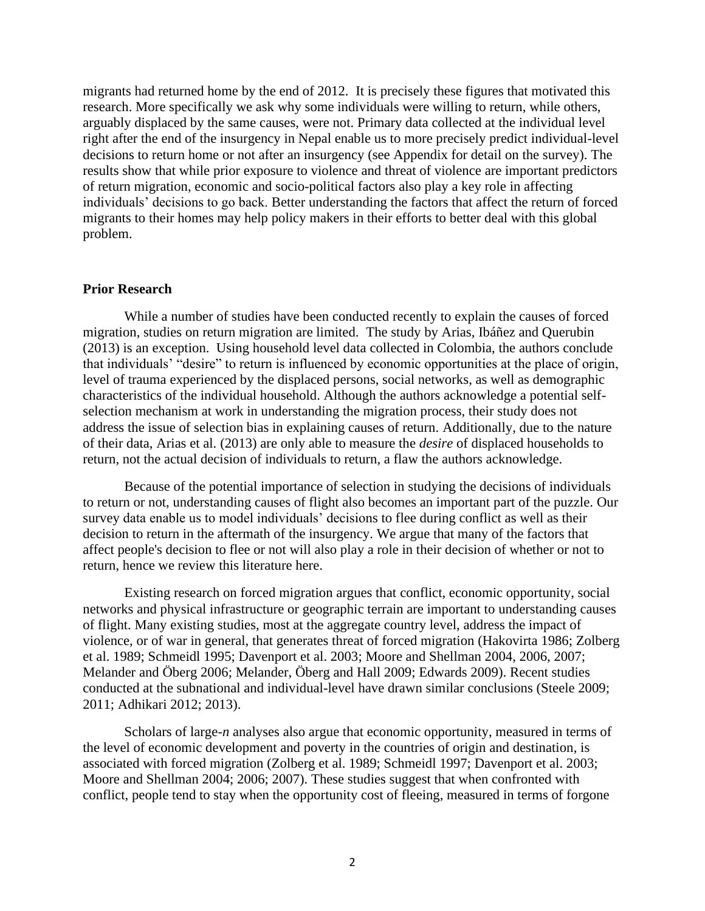migrants had returned home by the end of 2012. It is precisely these figures that motivated this research. More specifically we ask why some individuals were willing to return, while others, arguably displaced by the same causes, were not. Primary data collected at the individual level right after the end of the insurgency in Nepal enable us to more precisely predict individual-level decisions to return home or not after an insurgency (see Appendix for detail on the survey). The results show that while prior exposure to violence and threat of violence are important predictors of return migration, economic and socio-political factors also play a key role in affecting individuals' decisions to go back. Better understanding the factors that affect the return of forced migrants to their homes may help policy makers in their efforts to better deal with this global problem.

#### **Prior Research**

While a number of studies have been conducted recently to explain the causes of forced migration, studies on return migration are limited. The study by Arias, Ibáñez and Querubin (2013) is an exception. Using household level data collected in Colombia, the authors conclude that individuals' "desire" to return is influenced by economic opportunities at the place of origin, level of trauma experienced by the displaced persons, social networks, as well as demographic characteristics of the individual household. Although the authors acknowledge a potential selfselection mechanism at work in understanding the migration process, their study does not address the issue of selection bias in explaining causes of return. Additionally, due to the nature of their data, Arias et al. (2013) are only able to measure the *desire* of displaced households to return, not the actual decision of individuals to return, a flaw the authors acknowledge.

Because of the potential importance of selection in studying the decisions of individuals to return or not, understanding causes of flight also becomes an important part of the puzzle. Our survey data enable us to model individuals' decisions to flee during conflict as well as their decision to return in the aftermath of the insurgency. We argue that many of the factors that affect people's decision to flee or not will also play a role in their decision of whether or not to return, hence we review this literature here.

Existing research on forced migration argues that conflict, economic opportunity, social networks and physical infrastructure or geographic terrain are important to understanding causes of flight. Many existing studies, most at the aggregate country level, address the impact of violence, or of war in general, that generates threat of forced migration (Hakovirta 1986; Zolberg et al. 1989; Schmeidl 1995; Davenport et al. 2003; Moore and Shellman 2004, 2006, 2007; Melander and Öberg 2006; Melander, Öberg and Hall 2009; Edwards 2009). Recent studies conducted at the subnational and individual-level have drawn similar conclusions (Steele 2009; 2011; Adhikari 2012; 2013).

Scholars of large-*n* analyses also argue that economic opportunity, measured in terms of the level of economic development and poverty in the countries of origin and destination, is associated with forced migration (Zolberg et al. 1989; Schmeidl 1997; Davenport et al. 2003; Moore and Shellman 2004; 2006; 2007). These studies suggest that when confronted with conflict, people tend to stay when the opportunity cost of fleeing, measured in terms of forgone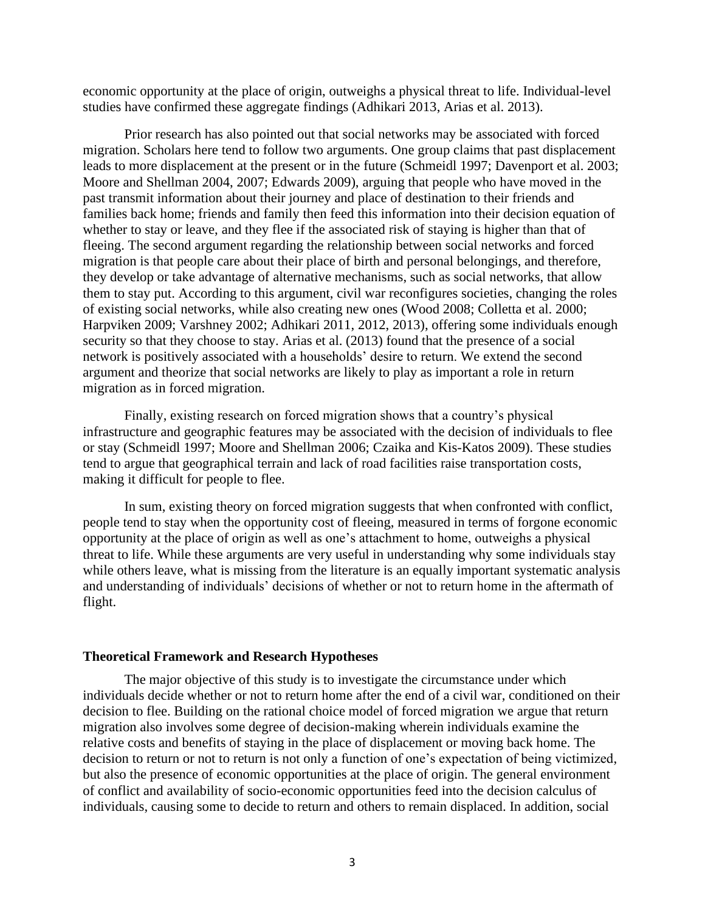economic opportunity at the place of origin, outweighs a physical threat to life. Individual-level studies have confirmed these aggregate findings (Adhikari 2013, Arias et al. 2013).

Prior research has also pointed out that social networks may be associated with forced migration. Scholars here tend to follow two arguments. One group claims that past displacement leads to more displacement at the present or in the future (Schmeidl 1997; Davenport et al. 2003; Moore and Shellman 2004, 2007; Edwards 2009), arguing that people who have moved in the past transmit information about their journey and place of destination to their friends and families back home; friends and family then feed this information into their decision equation of whether to stay or leave, and they flee if the associated risk of staying is higher than that of fleeing. The second argument regarding the relationship between social networks and forced migration is that people care about their place of birth and personal belongings, and therefore, they develop or take advantage of alternative mechanisms, such as social networks, that allow them to stay put. According to this argument, civil war reconfigures societies, changing the roles of existing social networks, while also creating new ones (Wood 2008; Colletta et al. 2000; Harpviken 2009; Varshney 2002; Adhikari 2011, 2012, 2013), offering some individuals enough security so that they choose to stay. Arias et al. (2013) found that the presence of a social network is positively associated with a households' desire to return. We extend the second argument and theorize that social networks are likely to play as important a role in return migration as in forced migration.

Finally, existing research on forced migration shows that a country's physical infrastructure and geographic features may be associated with the decision of individuals to flee or stay (Schmeidl 1997; Moore and Shellman 2006; Czaika and Kis-Katos 2009). These studies tend to argue that geographical terrain and lack of road facilities raise transportation costs, making it difficult for people to flee.

In sum, existing theory on forced migration suggests that when confronted with conflict, people tend to stay when the opportunity cost of fleeing, measured in terms of forgone economic opportunity at the place of origin as well as one's attachment to home, outweighs a physical threat to life. While these arguments are very useful in understanding why some individuals stay while others leave, what is missing from the literature is an equally important systematic analysis and understanding of individuals' decisions of whether or not to return home in the aftermath of flight.

#### **Theoretical Framework and Research Hypotheses**

The major objective of this study is to investigate the circumstance under which individuals decide whether or not to return home after the end of a civil war, conditioned on their decision to flee. Building on the rational choice model of forced migration we argue that return migration also involves some degree of decision-making wherein individuals examine the relative costs and benefits of staying in the place of displacement or moving back home. The decision to return or not to return is not only a function of one's expectation of being victimized, but also the presence of economic opportunities at the place of origin. The general environment of conflict and availability of socio-economic opportunities feed into the decision calculus of individuals, causing some to decide to return and others to remain displaced. In addition, social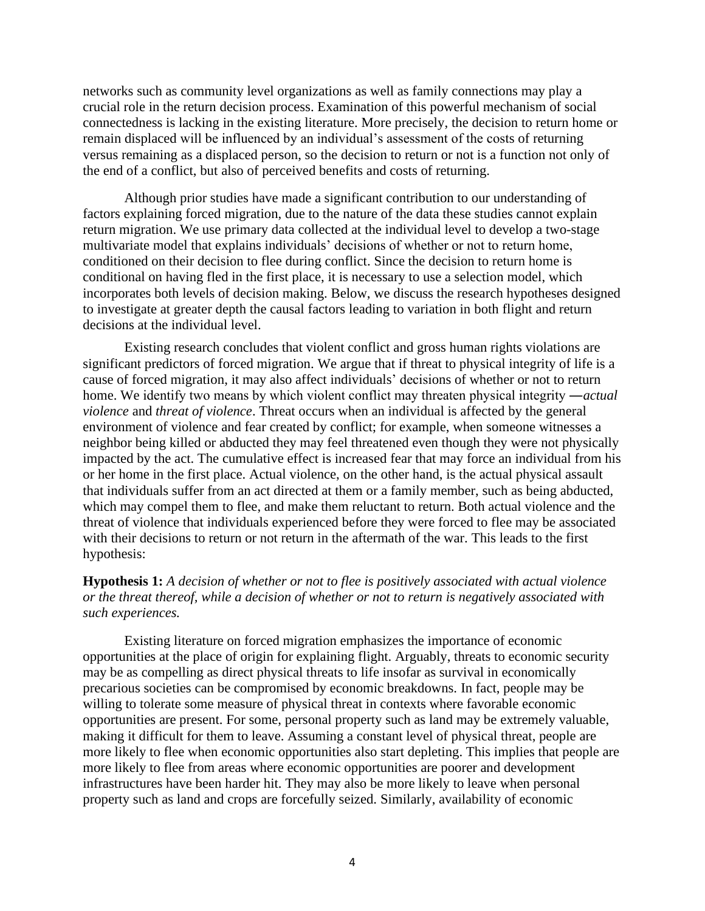networks such as community level organizations as well as family connections may play a crucial role in the return decision process. Examination of this powerful mechanism of social connectedness is lacking in the existing literature. More precisely, the decision to return home or remain displaced will be influenced by an individual's assessment of the costs of returning versus remaining as a displaced person, so the decision to return or not is a function not only of the end of a conflict, but also of perceived benefits and costs of returning.

Although prior studies have made a significant contribution to our understanding of factors explaining forced migration, due to the nature of the data these studies cannot explain return migration. We use primary data collected at the individual level to develop a two-stage multivariate model that explains individuals' decisions of whether or not to return home, conditioned on their decision to flee during conflict. Since the decision to return home is conditional on having fled in the first place, it is necessary to use a selection model, which incorporates both levels of decision making. Below, we discuss the research hypotheses designed to investigate at greater depth the causal factors leading to variation in both flight and return decisions at the individual level.

Existing research concludes that violent conflict and gross human rights violations are significant predictors of forced migration. We argue that if threat to physical integrity of life is a cause of forced migration, it may also affect individuals' decisions of whether or not to return home. We identify two means by which violent conflict may threaten physical integrity ―*actual violence* and *threat of violence*. Threat occurs when an individual is affected by the general environment of violence and fear created by conflict; for example, when someone witnesses a neighbor being killed or abducted they may feel threatened even though they were not physically impacted by the act. The cumulative effect is increased fear that may force an individual from his or her home in the first place. Actual violence, on the other hand, is the actual physical assault that individuals suffer from an act directed at them or a family member, such as being abducted, which may compel them to flee, and make them reluctant to return. Both actual violence and the threat of violence that individuals experienced before they were forced to flee may be associated with their decisions to return or not return in the aftermath of the war. This leads to the first hypothesis:

# **Hypothesis 1:** *A decision of whether or not to flee is positively associated with actual violence or the threat thereof, while a decision of whether or not to return is negatively associated with such experiences.*

Existing literature on forced migration emphasizes the importance of economic opportunities at the place of origin for explaining flight. Arguably, threats to economic security may be as compelling as direct physical threats to life insofar as survival in economically precarious societies can be compromised by economic breakdowns. In fact, people may be willing to tolerate some measure of physical threat in contexts where favorable economic opportunities are present. For some, personal property such as land may be extremely valuable, making it difficult for them to leave. Assuming a constant level of physical threat, people are more likely to flee when economic opportunities also start depleting. This implies that people are more likely to flee from areas where economic opportunities are poorer and development infrastructures have been harder hit. They may also be more likely to leave when personal property such as land and crops are forcefully seized. Similarly, availability of economic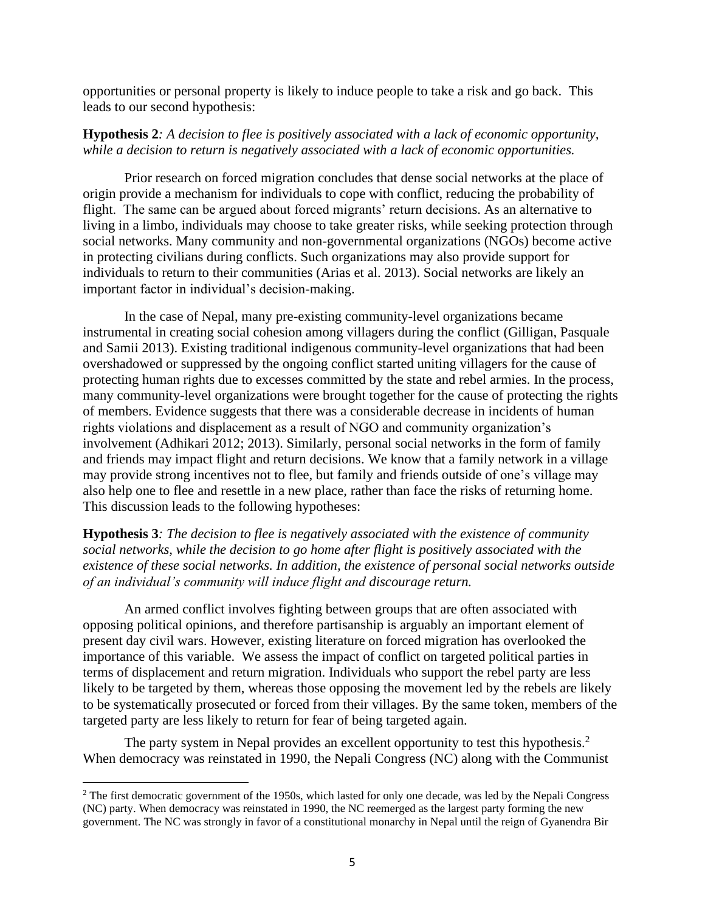opportunities or personal property is likely to induce people to take a risk and go back. This leads to our second hypothesis:

## **Hypothesis 2***: A decision to flee is positively associated with a lack of economic opportunity, while a decision to return is negatively associated with a lack of economic opportunities.*

Prior research on forced migration concludes that dense social networks at the place of origin provide a mechanism for individuals to cope with conflict, reducing the probability of flight. The same can be argued about forced migrants' return decisions. As an alternative to living in a limbo, individuals may choose to take greater risks, while seeking protection through social networks. Many community and non-governmental organizations (NGOs) become active in protecting civilians during conflicts. Such organizations may also provide support for individuals to return to their communities (Arias et al. 2013). Social networks are likely an important factor in individual's decision-making.

In the case of Nepal, many pre-existing community-level organizations became instrumental in creating social cohesion among villagers during the conflict (Gilligan, Pasquale and Samii 2013). Existing traditional indigenous community-level organizations that had been overshadowed or suppressed by the ongoing conflict started uniting villagers for the cause of protecting human rights due to excesses committed by the state and rebel armies. In the process, many community-level organizations were brought together for the cause of protecting the rights of members. Evidence suggests that there was a considerable decrease in incidents of human rights violations and displacement as a result of NGO and community organization's involvement (Adhikari 2012; 2013). Similarly, personal social networks in the form of family and friends may impact flight and return decisions. We know that a family network in a village may provide strong incentives not to flee, but family and friends outside of one's village may also help one to flee and resettle in a new place, rather than face the risks of returning home. This discussion leads to the following hypotheses:

# **Hypothesis 3***: The decision to flee is negatively associated with the existence of community social networks, while the decision to go home after flight is positively associated with the existence of these social networks. In addition, the existence of personal social networks outside of an individual's community will induce flight and discourage return.*

An armed conflict involves fighting between groups that are often associated with opposing political opinions, and therefore partisanship is arguably an important element of present day civil wars. However, existing literature on forced migration has overlooked the importance of this variable. We assess the impact of conflict on targeted political parties in terms of displacement and return migration. Individuals who support the rebel party are less likely to be targeted by them, whereas those opposing the movement led by the rebels are likely to be systematically prosecuted or forced from their villages. By the same token, members of the targeted party are less likely to return for fear of being targeted again.

The party system in Nepal provides an excellent opportunity to test this hypothesis.<sup>2</sup> When democracy was reinstated in 1990, the Nepali Congress (NC) along with the Communist

<sup>&</sup>lt;sup>2</sup> The first democratic government of the 1950s, which lasted for only one decade, was led by the Nepali Congress (NC) party. When democracy was reinstated in 1990, the NC reemerged as the largest party forming the new government. The NC was strongly in favor of a constitutional monarchy in Nepal until the reign of Gyanendra Bir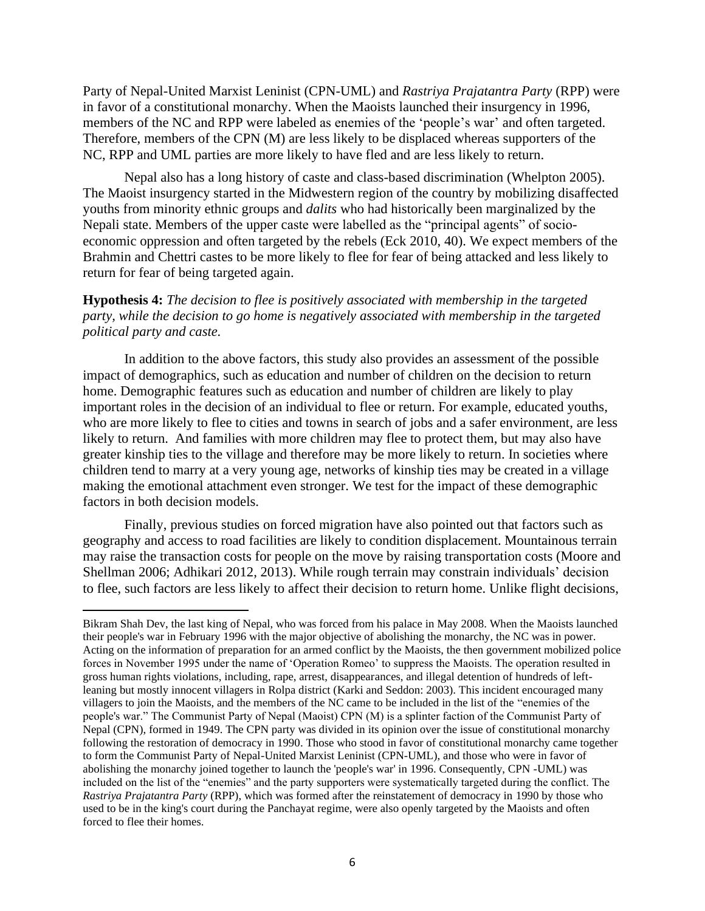Party of Nepal-United Marxist Leninist (CPN-UML) and *Rastriya Prajatantra Party* (RPP) were in favor of a constitutional monarchy. When the Maoists launched their insurgency in 1996, members of the NC and RPP were labeled as enemies of the 'people's war' and often targeted. Therefore, members of the CPN (M) are less likely to be displaced whereas supporters of the NC, RPP and UML parties are more likely to have fled and are less likely to return.

Nepal also has a long history of caste and class-based discrimination (Whelpton 2005). The Maoist insurgency started in the Midwestern region of the country by mobilizing disaffected youths from minority ethnic groups and *dalits* who had historically been marginalized by the Nepali state. Members of the upper caste were labelled as the "principal agents" of socioeconomic oppression and often targeted by the rebels (Eck 2010, 40). We expect members of the Brahmin and Chettri castes to be more likely to flee for fear of being attacked and less likely to return for fear of being targeted again.

# **Hypothesis 4:** *The decision to flee is positively associated with membership in the targeted party, while the decision to go home is negatively associated with membership in the targeted political party and caste.*

In addition to the above factors, this study also provides an assessment of the possible impact of demographics, such as education and number of children on the decision to return home. Demographic features such as education and number of children are likely to play important roles in the decision of an individual to flee or return. For example, educated youths, who are more likely to flee to cities and towns in search of jobs and a safer environment, are less likely to return. And families with more children may flee to protect them, but may also have greater kinship ties to the village and therefore may be more likely to return. In societies where children tend to marry at a very young age, networks of kinship ties may be created in a village making the emotional attachment even stronger. We test for the impact of these demographic factors in both decision models.

Finally, previous studies on forced migration have also pointed out that factors such as geography and access to road facilities are likely to condition displacement. Mountainous terrain may raise the transaction costs for people on the move by raising transportation costs (Moore and Shellman 2006; Adhikari 2012, 2013). While rough terrain may constrain individuals' decision to flee, such factors are less likely to affect their decision to return home. Unlike flight decisions,

Bikram Shah Dev, the last king of Nepal, who was forced from his palace in May 2008. When the Maoists launched their people's war in February 1996 with the major objective of abolishing the monarchy, the NC was in power. Acting on the information of preparation for an armed conflict by the Maoists, the then government mobilized police forces in November 1995 under the name of 'Operation Romeo' to suppress the Maoists. The operation resulted in gross human rights violations, including, rape, arrest, disappearances, and illegal detention of hundreds of leftleaning but mostly innocent villagers in Rolpa district (Karki and Seddon: 2003). This incident encouraged many villagers to join the Maoists, and the members of the NC came to be included in the list of the "enemies of the people's war." The Communist Party of Nepal (Maoist) CPN (M) is a splinter faction of the Communist Party of Nepal (CPN), formed in 1949. The CPN party was divided in its opinion over the issue of constitutional monarchy following the restoration of democracy in 1990. Those who stood in favor of constitutional monarchy came together to form the Communist Party of Nepal-United Marxist Leninist (CPN-UML), and those who were in favor of abolishing the monarchy joined together to launch the 'people's war' in 1996. Consequently, CPN -UML) was included on the list of the "enemies" and the party supporters were systematically targeted during the conflict. The *Rastriya Prajatantra Party* (RPP), which was formed after the reinstatement of democracy in 1990 by those who used to be in the king's court during the Panchayat regime, were also openly targeted by the Maoists and often forced to flee their homes.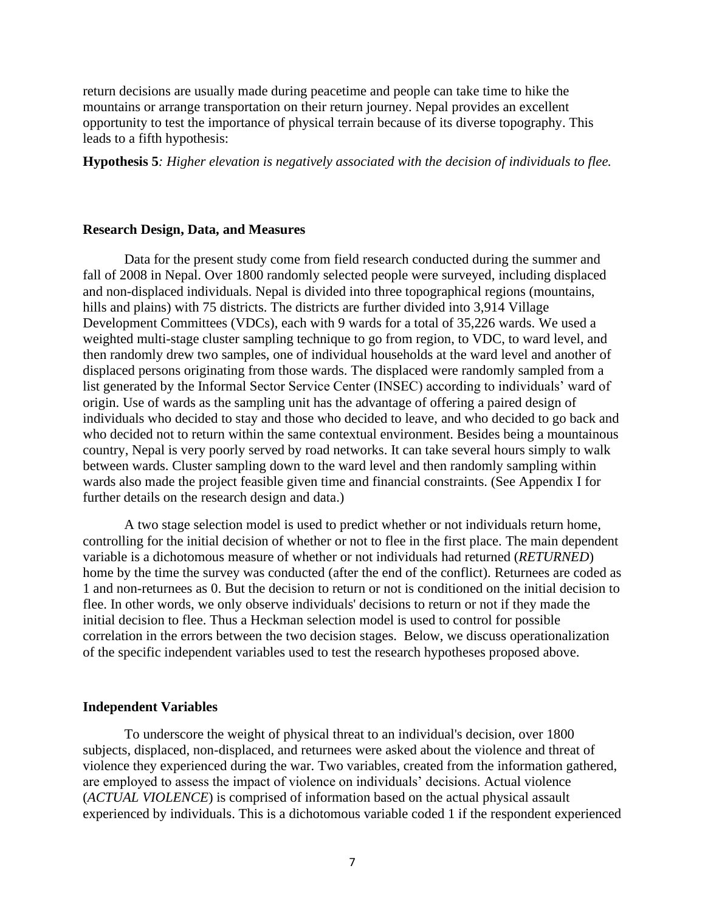return decisions are usually made during peacetime and people can take time to hike the mountains or arrange transportation on their return journey. Nepal provides an excellent opportunity to test the importance of physical terrain because of its diverse topography. This leads to a fifth hypothesis:

**Hypothesis 5***: Higher elevation is negatively associated with the decision of individuals to flee.* 

#### **Research Design, Data, and Measures**

Data for the present study come from field research conducted during the summer and fall of 2008 in Nepal. Over 1800 randomly selected people were surveyed, including displaced and non-displaced individuals. Nepal is divided into three topographical regions (mountains, hills and plains) with 75 districts. The districts are further divided into 3,914 Village Development Committees (VDCs), each with 9 wards for a total of 35,226 wards. We used a weighted multi-stage cluster sampling technique to go from region, to VDC, to ward level, and then randomly drew two samples, one of individual households at the ward level and another of displaced persons originating from those wards. The displaced were randomly sampled from a list generated by the Informal Sector Service Center (INSEC) according to individuals' ward of origin. Use of wards as the sampling unit has the advantage of offering a paired design of individuals who decided to stay and those who decided to leave, and who decided to go back and who decided not to return within the same contextual environment. Besides being a mountainous country, Nepal is very poorly served by road networks. It can take several hours simply to walk between wards. Cluster sampling down to the ward level and then randomly sampling within wards also made the project feasible given time and financial constraints. (See Appendix I for further details on the research design and data.)

A two stage selection model is used to predict whether or not individuals return home, controlling for the initial decision of whether or not to flee in the first place. The main dependent variable is a dichotomous measure of whether or not individuals had returned (*RETURNED*) home by the time the survey was conducted (after the end of the conflict). Returnees are coded as 1 and non-returnees as 0. But the decision to return or not is conditioned on the initial decision to flee. In other words, we only observe individuals' decisions to return or not if they made the initial decision to flee. Thus a Heckman selection model is used to control for possible correlation in the errors between the two decision stages. Below, we discuss operationalization of the specific independent variables used to test the research hypotheses proposed above.

#### **Independent Variables**

To underscore the weight of physical threat to an individual's decision, over 1800 subjects, displaced, non-displaced, and returnees were asked about the violence and threat of violence they experienced during the war. Two variables, created from the information gathered, are employed to assess the impact of violence on individuals' decisions. Actual violence (*ACTUAL VIOLENCE*) is comprised of information based on the actual physical assault experienced by individuals. This is a dichotomous variable coded 1 if the respondent experienced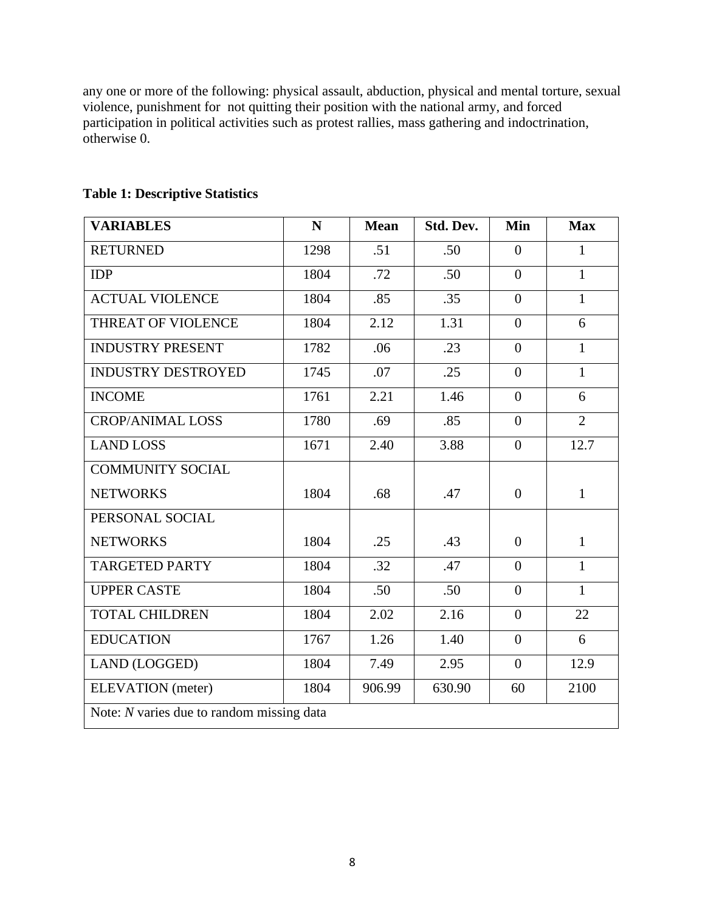any one or more of the following: physical assault, abduction, physical and mental torture, sexual violence, punishment for not quitting their position with the national army, and forced participation in political activities such as protest rallies, mass gathering and indoctrination, otherwise 0.

| <b>VARIABLES</b>                          | N    | <b>Mean</b> | Std. Dev. | Min            | <b>Max</b>     |  |
|-------------------------------------------|------|-------------|-----------|----------------|----------------|--|
| <b>RETURNED</b>                           | 1298 | .51         | .50       | $\overline{0}$ | $\mathbf{1}$   |  |
| <b>IDP</b>                                | 1804 | .72         | .50       | $\overline{0}$ | $\mathbf{1}$   |  |
| <b>ACTUAL VIOLENCE</b>                    | 1804 | .85         | .35       | $\Omega$       | $\mathbf{1}$   |  |
| THREAT OF VIOLENCE                        | 1804 | 2.12        | 1.31      | $\overline{0}$ | 6              |  |
| <b>INDUSTRY PRESENT</b>                   | 1782 | .06         | .23       | $\theta$       | $\mathbf{1}$   |  |
| <b>INDUSTRY DESTROYED</b>                 | 1745 | .07         | .25       | $\overline{0}$ | $\mathbf{1}$   |  |
| <b>INCOME</b>                             | 1761 | 2.21        | 1.46      | $\theta$       | 6              |  |
| <b>CROP/ANIMAL LOSS</b>                   | 1780 | .69         | .85       | $\overline{0}$ | $\overline{2}$ |  |
| <b>LAND LOSS</b>                          | 1671 | 2.40        | 3.88      | $\overline{0}$ | 12.7           |  |
| <b>COMMUNITY SOCIAL</b>                   |      |             |           |                |                |  |
| <b>NETWORKS</b>                           | 1804 | .68         | .47       | $\overline{0}$ | $\mathbf{1}$   |  |
| PERSONAL SOCIAL                           |      |             |           |                |                |  |
| <b>NETWORKS</b>                           | 1804 | .25         | .43       | $\overline{0}$ | $\mathbf{1}$   |  |
| <b>TARGETED PARTY</b>                     | 1804 | .32         | .47       | $\theta$       | $\mathbf{1}$   |  |
| <b>UPPER CASTE</b>                        | 1804 | .50         | .50       | $\overline{0}$ | $\mathbf{1}$   |  |
| <b>TOTAL CHILDREN</b>                     | 1804 | 2.02        | 2.16      | $\theta$       | 22             |  |
| <b>EDUCATION</b>                          | 1767 | 1.26        | 1.40      | $\overline{0}$ | 6              |  |
| LAND (LOGGED)                             | 1804 | 7.49        | 2.95      | $\overline{0}$ | 12.9           |  |
| <b>ELEVATION</b> (meter)                  | 1804 | 906.99      | 630.90    | 60             | 2100           |  |
| Note: N varies due to random missing data |      |             |           |                |                |  |

# **Table 1: Descriptive Statistics**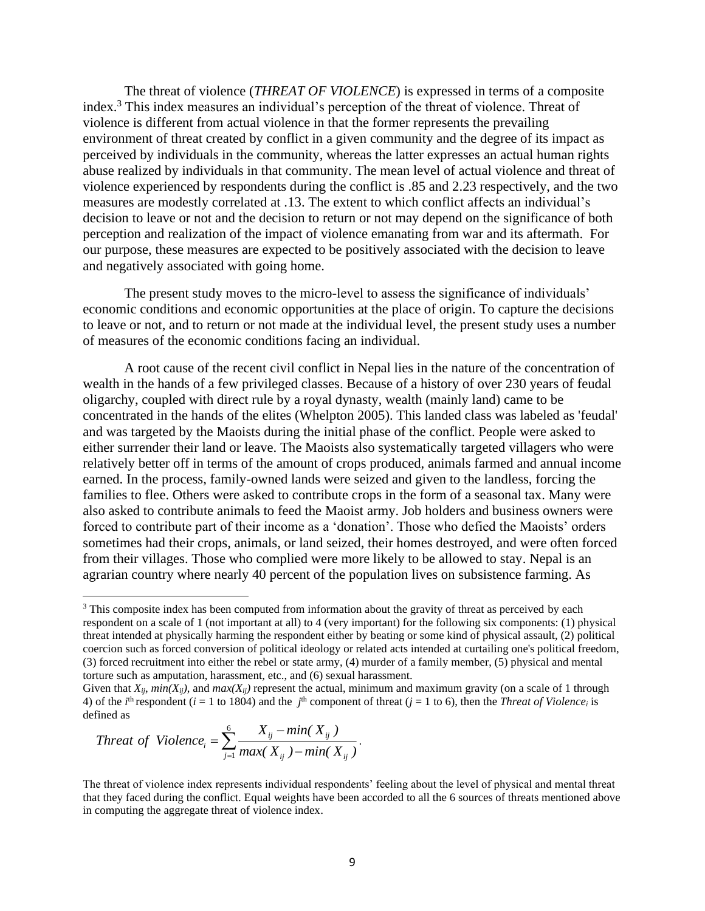The threat of violence (*THREAT OF VIOLENCE*) is expressed in terms of a composite index.<sup>3</sup> This index measures an individual's perception of the threat of violence. Threat of violence is different from actual violence in that the former represents the prevailing environment of threat created by conflict in a given community and the degree of its impact as perceived by individuals in the community, whereas the latter expresses an actual human rights abuse realized by individuals in that community. The mean level of actual violence and threat of violence experienced by respondents during the conflict is .85 and 2.23 respectively, and the two measures are modestly correlated at .13. The extent to which conflict affects an individual's decision to leave or not and the decision to return or not may depend on the significance of both perception and realization of the impact of violence emanating from war and its aftermath. For our purpose, these measures are expected to be positively associated with the decision to leave and negatively associated with going home.

The present study moves to the micro-level to assess the significance of individuals' economic conditions and economic opportunities at the place of origin. To capture the decisions to leave or not, and to return or not made at the individual level, the present study uses a number of measures of the economic conditions facing an individual.

A root cause of the recent civil conflict in Nepal lies in the nature of the concentration of wealth in the hands of a few privileged classes. Because of a history of over 230 years of feudal oligarchy, coupled with direct rule by a royal dynasty, wealth (mainly land) came to be concentrated in the hands of the elites (Whelpton 2005). This landed class was labeled as 'feudal' and was targeted by the Maoists during the initial phase of the conflict. People were asked to either surrender their land or leave. The Maoists also systematically targeted villagers who were relatively better off in terms of the amount of crops produced, animals farmed and annual income earned. In the process, family-owned lands were seized and given to the landless, forcing the families to flee. Others were asked to contribute crops in the form of a seasonal tax. Many were also asked to contribute animals to feed the Maoist army. Job holders and business owners were forced to contribute part of their income as a 'donation'. Those who defied the Maoists' orders sometimes had their crops, animals, or land seized, their homes destroyed, and were often forced from their villages. Those who complied were more likely to be allowed to stay. Nepal is an agrarian country where nearly 40 percent of the population lives on subsistence farming. As

*Thread of Violence*<sub>*i*</sub> = 
$$
\sum_{j=1}^{6} \frac{X_{ij} - min(X_{ij})}{max(X_{ij}) - min(X_{ij})}.
$$

The threat of violence index represents individual respondents' feeling about the level of physical and mental threat that they faced during the conflict. Equal weights have been accorded to all the 6 sources of threats mentioned above in computing the aggregate threat of violence index.

<sup>&</sup>lt;sup>3</sup> This composite index has been computed from information about the gravity of threat as perceived by each respondent on a scale of 1 (not important at all) to 4 (very important) for the following six components: (1) physical threat intended at physically harming the respondent either by beating or some kind of physical assault, (2) political coercion such as forced conversion of political ideology or related acts intended at curtailing one's political freedom, (3) forced recruitment into either the rebel or state army, (4) murder of a family member, (5) physical and mental torture such as amputation, harassment, etc., and (6) sexual harassment.

Given that  $X_{ii}$ ,  $min(X_{ii})$ , and  $max(X_{ii})$  represent the actual, minimum and maximum gravity (on a scale of 1 through 4) of the *i*<sup>th</sup> respondent (*i* = 1 to 1804) and the *j*<sup>th</sup> component of threat (*j* = 1 to 6), then the *Threat of Violencei* is defined as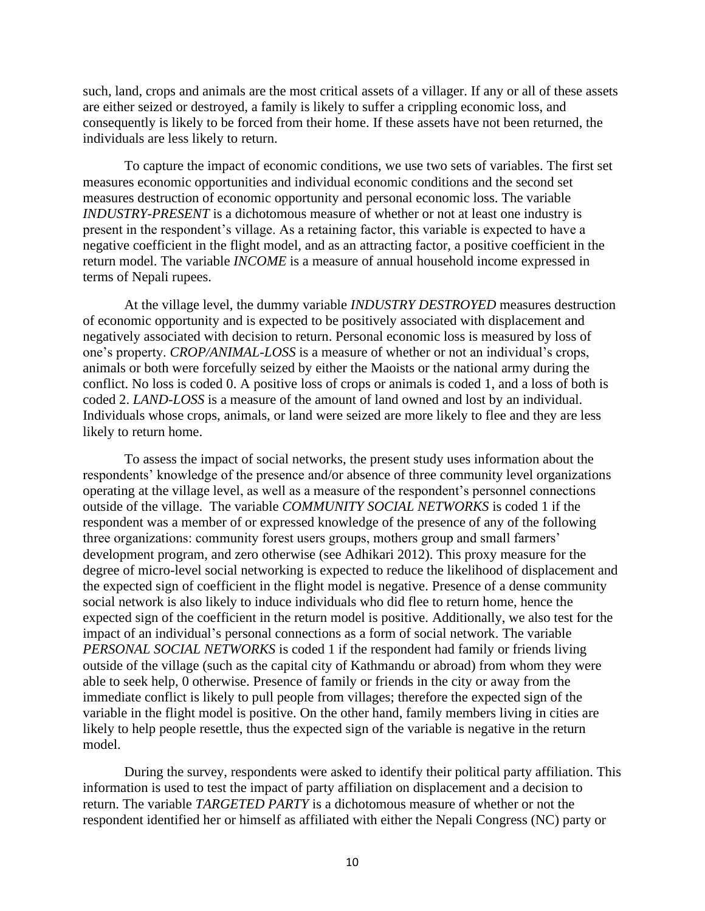such, land, crops and animals are the most critical assets of a villager. If any or all of these assets are either seized or destroyed, a family is likely to suffer a crippling economic loss, and consequently is likely to be forced from their home. If these assets have not been returned, the individuals are less likely to return.

To capture the impact of economic conditions, we use two sets of variables. The first set measures economic opportunities and individual economic conditions and the second set measures destruction of economic opportunity and personal economic loss. The variable *INDUSTRY-PRESENT* is a dichotomous measure of whether or not at least one industry is present in the respondent's village. As a retaining factor, this variable is expected to have a negative coefficient in the flight model, and as an attracting factor, a positive coefficient in the return model. The variable *INCOME* is a measure of annual household income expressed in terms of Nepali rupees.

At the village level, the dummy variable *INDUSTRY DESTROYED* measures destruction of economic opportunity and is expected to be positively associated with displacement and negatively associated with decision to return. Personal economic loss is measured by loss of one's property. *CROP/ANIMAL-LOSS* is a measure of whether or not an individual's crops, animals or both were forcefully seized by either the Maoists or the national army during the conflict. No loss is coded 0. A positive loss of crops or animals is coded 1, and a loss of both is coded 2. *LAND-LOSS* is a measure of the amount of land owned and lost by an individual. Individuals whose crops, animals, or land were seized are more likely to flee and they are less likely to return home.

To assess the impact of social networks, the present study uses information about the respondents' knowledge of the presence and/or absence of three community level organizations operating at the village level, as well as a measure of the respondent's personnel connections outside of the village. The variable *COMMUNITY SOCIAL NETWORKS* is coded 1 if the respondent was a member of or expressed knowledge of the presence of any of the following three organizations: community forest users groups, mothers group and small farmers' development program, and zero otherwise (see Adhikari 2012). This proxy measure for the degree of micro-level social networking is expected to reduce the likelihood of displacement and the expected sign of coefficient in the flight model is negative. Presence of a dense community social network is also likely to induce individuals who did flee to return home, hence the expected sign of the coefficient in the return model is positive. Additionally, we also test for the impact of an individual's personal connections as a form of social network. The variable *PERSONAL SOCIAL NETWORKS* is coded 1 if the respondent had family or friends living outside of the village (such as the capital city of Kathmandu or abroad) from whom they were able to seek help, 0 otherwise. Presence of family or friends in the city or away from the immediate conflict is likely to pull people from villages; therefore the expected sign of the variable in the flight model is positive. On the other hand, family members living in cities are likely to help people resettle, thus the expected sign of the variable is negative in the return model.

During the survey, respondents were asked to identify their political party affiliation. This information is used to test the impact of party affiliation on displacement and a decision to return. The variable *TARGETED PARTY* is a dichotomous measure of whether or not the respondent identified her or himself as affiliated with either the Nepali Congress (NC) party or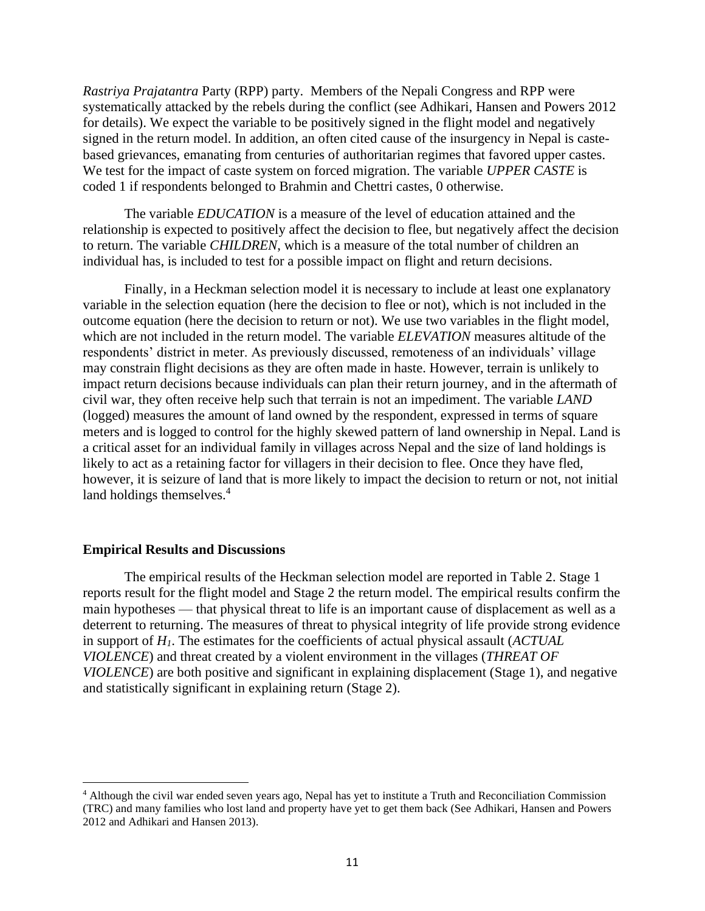*Rastriya Prajatantra* Party (RPP) party. Members of the Nepali Congress and RPP were systematically attacked by the rebels during the conflict (see Adhikari, Hansen and Powers 2012 for details). We expect the variable to be positively signed in the flight model and negatively signed in the return model. In addition, an often cited cause of the insurgency in Nepal is castebased grievances, emanating from centuries of authoritarian regimes that favored upper castes. We test for the impact of caste system on forced migration. The variable *UPPER CASTE* is coded 1 if respondents belonged to Brahmin and Chettri castes, 0 otherwise.

The variable *EDUCATION* is a measure of the level of education attained and the relationship is expected to positively affect the decision to flee, but negatively affect the decision to return. The variable *CHILDREN*, which is a measure of the total number of children an individual has, is included to test for a possible impact on flight and return decisions.

Finally, in a Heckman selection model it is necessary to include at least one explanatory variable in the selection equation (here the decision to flee or not), which is not included in the outcome equation (here the decision to return or not). We use two variables in the flight model, which are not included in the return model. The variable *ELEVATION* measures altitude of the respondents' district in meter. As previously discussed, remoteness of an individuals' village may constrain flight decisions as they are often made in haste. However, terrain is unlikely to impact return decisions because individuals can plan their return journey, and in the aftermath of civil war, they often receive help such that terrain is not an impediment. The variable *LAND* (logged) measures the amount of land owned by the respondent, expressed in terms of square meters and is logged to control for the highly skewed pattern of land ownership in Nepal. Land is a critical asset for an individual family in villages across Nepal and the size of land holdings is likely to act as a retaining factor for villagers in their decision to flee. Once they have fled, however, it is seizure of land that is more likely to impact the decision to return or not, not initial land holdings themselves.<sup>4</sup>

#### **Empirical Results and Discussions**

The empirical results of the Heckman selection model are reported in Table 2. Stage 1 reports result for the flight model and Stage 2 the return model. The empirical results confirm the main hypotheses — that physical threat to life is an important cause of displacement as well as a deterrent to returning. The measures of threat to physical integrity of life provide strong evidence in support of *H1*. The estimates for the coefficients of actual physical assault (*ACTUAL VIOLENCE*) and threat created by a violent environment in the villages (*THREAT OF VIOLENCE*) are both positive and significant in explaining displacement (Stage 1), and negative and statistically significant in explaining return (Stage 2).

<sup>4</sup> Although the civil war ended seven years ago, Nepal has yet to institute a Truth and Reconciliation Commission (TRC) and many families who lost land and property have yet to get them back (See Adhikari, Hansen and Powers 2012 and Adhikari and Hansen 2013).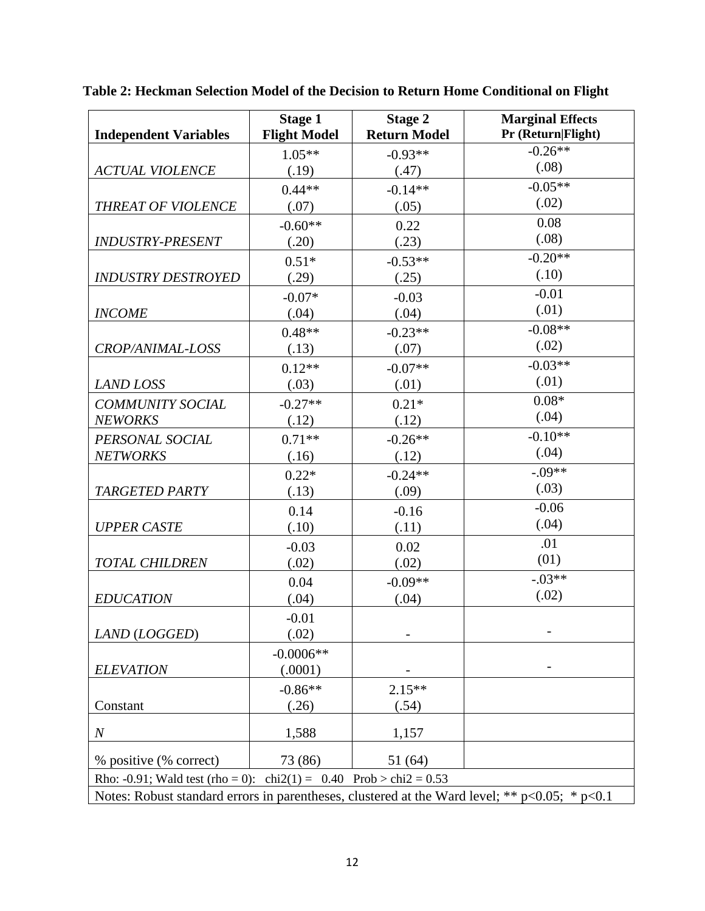|                                                                                                    | <b>Stage 1</b>      | <b>Stage 2</b>      | <b>Marginal Effects</b> |  |  |  |
|----------------------------------------------------------------------------------------------------|---------------------|---------------------|-------------------------|--|--|--|
| <b>Independent Variables</b>                                                                       | <b>Flight Model</b> | <b>Return Model</b> | Pr (Return Flight)      |  |  |  |
|                                                                                                    | $1.05**$            | $-0.93**$           | $-0.26**$               |  |  |  |
| <b>ACTUAL VIOLENCE</b>                                                                             | (.19)               | (.47)               | (.08)                   |  |  |  |
|                                                                                                    | $0.44**$            | $-0.14**$           | $-0.05**$               |  |  |  |
| THREAT OF VIOLENCE                                                                                 | (.07)               | (.05)               | (.02)                   |  |  |  |
|                                                                                                    | $-0.60**$           | 0.22                | 0.08                    |  |  |  |
| <b>INDUSTRY-PRESENT</b>                                                                            | (.20)               | (.23)               | (.08)                   |  |  |  |
|                                                                                                    | $0.51*$             | $-0.53**$           | $-0.20**$               |  |  |  |
| <b>INDUSTRY DESTROYED</b>                                                                          | (.29)               | (.25)               | (.10)                   |  |  |  |
|                                                                                                    | $-0.07*$            | $-0.03$             | $-0.01$                 |  |  |  |
| <b>INCOME</b>                                                                                      | (.04)               | (.04)               | (.01)                   |  |  |  |
|                                                                                                    | $0.48**$            | $-0.23**$           | $-0.08**$               |  |  |  |
| CROP/ANIMAL-LOSS                                                                                   | (.13)               | (.07)               | (.02)                   |  |  |  |
|                                                                                                    | $0.12**$            | $-0.07**$           | $-0.03**$               |  |  |  |
| <b>LAND LOSS</b>                                                                                   | (.03)               | (.01)               | (.01)                   |  |  |  |
| <b>COMMUNITY SOCIAL</b>                                                                            | $-0.27**$           | $0.21*$             | $0.08*$                 |  |  |  |
| <b>NEWORKS</b>                                                                                     | (.12)               | (.12)               | (.04)                   |  |  |  |
| PERSONAL SOCIAL                                                                                    | $0.71**$            | $-0.26**$           | $-0.10**$               |  |  |  |
| <b>NETWORKS</b>                                                                                    | (.16)               | (.12)               | (.04)                   |  |  |  |
|                                                                                                    | $0.22*$             | $-0.24**$           | $-.09**$                |  |  |  |
| <b>TARGETED PARTY</b>                                                                              | (.13)               | (.09)               | (.03)                   |  |  |  |
|                                                                                                    | 0.14                | $-0.16$             | $-0.06$                 |  |  |  |
| <b>UPPER CASTE</b>                                                                                 | (.10)               | (.11)               | (.04)                   |  |  |  |
|                                                                                                    | $-0.03$             | 0.02                | .01                     |  |  |  |
| <b>TOTAL CHILDREN</b>                                                                              | (.02)               | (.02)               | (01)                    |  |  |  |
|                                                                                                    | 0.04                | $-0.09**$           | $-.03**$                |  |  |  |
| <b>EDUCATION</b>                                                                                   | (.04)               | (.04)               | (.02)                   |  |  |  |
|                                                                                                    | $-0.01$             |                     |                         |  |  |  |
| LAND (LOGGED)                                                                                      | (.02)               |                     |                         |  |  |  |
|                                                                                                    | $-0.0006**$         |                     |                         |  |  |  |
| <b>ELEVATION</b>                                                                                   | (.0001)             |                     |                         |  |  |  |
|                                                                                                    | $-0.86**$           | $2.15**$            |                         |  |  |  |
| Constant                                                                                           | (.26)               | (.54)               |                         |  |  |  |
| $\boldsymbol{N}$                                                                                   | 1,588               | 1,157               |                         |  |  |  |
|                                                                                                    |                     |                     |                         |  |  |  |
| % positive (% correct)<br>73 (86)<br>51 (64)                                                       |                     |                     |                         |  |  |  |
| Rho: -0.91; Wald test (rho = 0): $\text{chi2}(1) = 0.40$ Prob > $\text{chi2} = 0.53$               |                     |                     |                         |  |  |  |
| Notes: Robust standard errors in parentheses, clustered at the Ward level; ** $p<0.05$ ; * $p<0.1$ |                     |                     |                         |  |  |  |

**Table 2: Heckman Selection Model of the Decision to Return Home Conditional on Flight**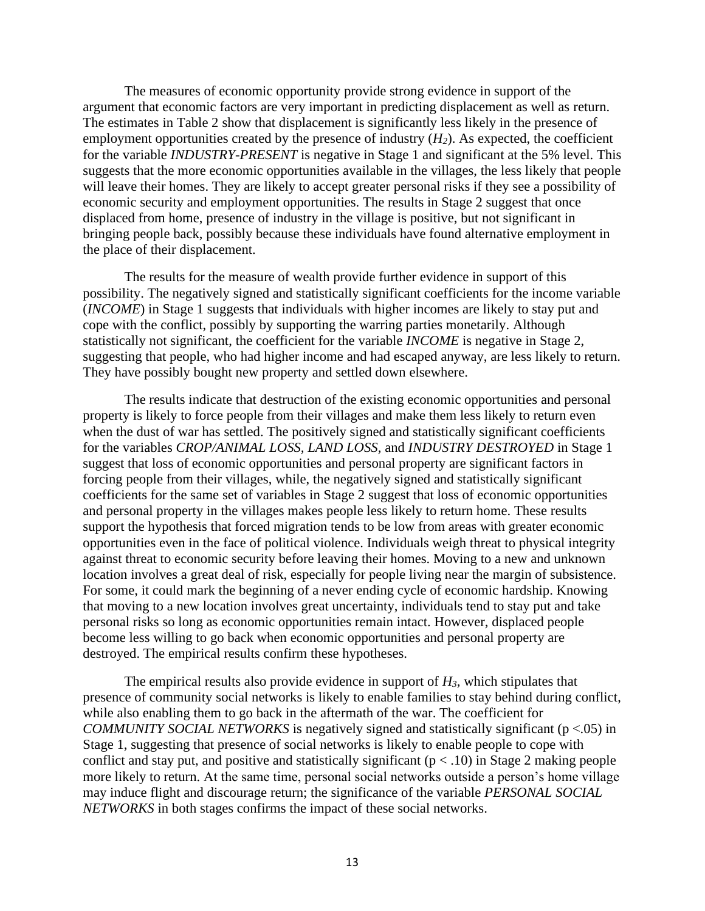The measures of economic opportunity provide strong evidence in support of the argument that economic factors are very important in predicting displacement as well as return. The estimates in Table 2 show that displacement is significantly less likely in the presence of employment opportunities created by the presence of industry  $(H_2)$ . As expected, the coefficient for the variable *INDUSTRY-PRESENT* is negative in Stage 1 and significant at the 5% level. This suggests that the more economic opportunities available in the villages, the less likely that people will leave their homes. They are likely to accept greater personal risks if they see a possibility of economic security and employment opportunities. The results in Stage 2 suggest that once displaced from home, presence of industry in the village is positive, but not significant in bringing people back, possibly because these individuals have found alternative employment in the place of their displacement.

The results for the measure of wealth provide further evidence in support of this possibility. The negatively signed and statistically significant coefficients for the income variable (*INCOME*) in Stage 1 suggests that individuals with higher incomes are likely to stay put and cope with the conflict, possibly by supporting the warring parties monetarily. Although statistically not significant, the coefficient for the variable *INCOME* is negative in Stage 2, suggesting that people, who had higher income and had escaped anyway, are less likely to return. They have possibly bought new property and settled down elsewhere.

The results indicate that destruction of the existing economic opportunities and personal property is likely to force people from their villages and make them less likely to return even when the dust of war has settled. The positively signed and statistically significant coefficients for the variables *CROP/ANIMAL LOSS, LAND LOSS,* and *INDUSTRY DESTROYED* in Stage 1 suggest that loss of economic opportunities and personal property are significant factors in forcing people from their villages, while, the negatively signed and statistically significant coefficients for the same set of variables in Stage 2 suggest that loss of economic opportunities and personal property in the villages makes people less likely to return home. These results support the hypothesis that forced migration tends to be low from areas with greater economic opportunities even in the face of political violence. Individuals weigh threat to physical integrity against threat to economic security before leaving their homes. Moving to a new and unknown location involves a great deal of risk, especially for people living near the margin of subsistence. For some, it could mark the beginning of a never ending cycle of economic hardship. Knowing that moving to a new location involves great uncertainty, individuals tend to stay put and take personal risks so long as economic opportunities remain intact. However, displaced people become less willing to go back when economic opportunities and personal property are destroyed. The empirical results confirm these hypotheses.

The empirical results also provide evidence in support of *H3,* which stipulates that presence of community social networks is likely to enable families to stay behind during conflict, while also enabling them to go back in the aftermath of the war. The coefficient for *COMMUNITY SOCIAL NETWORKS* is negatively signed and statistically significant (p <.05) in Stage 1, suggesting that presence of social networks is likely to enable people to cope with conflict and stay put, and positive and statistically significant  $(p < .10)$  in Stage 2 making people more likely to return. At the same time, personal social networks outside a person's home village may induce flight and discourage return; the significance of the variable *PERSONAL SOCIAL NETWORKS* in both stages confirms the impact of these social networks.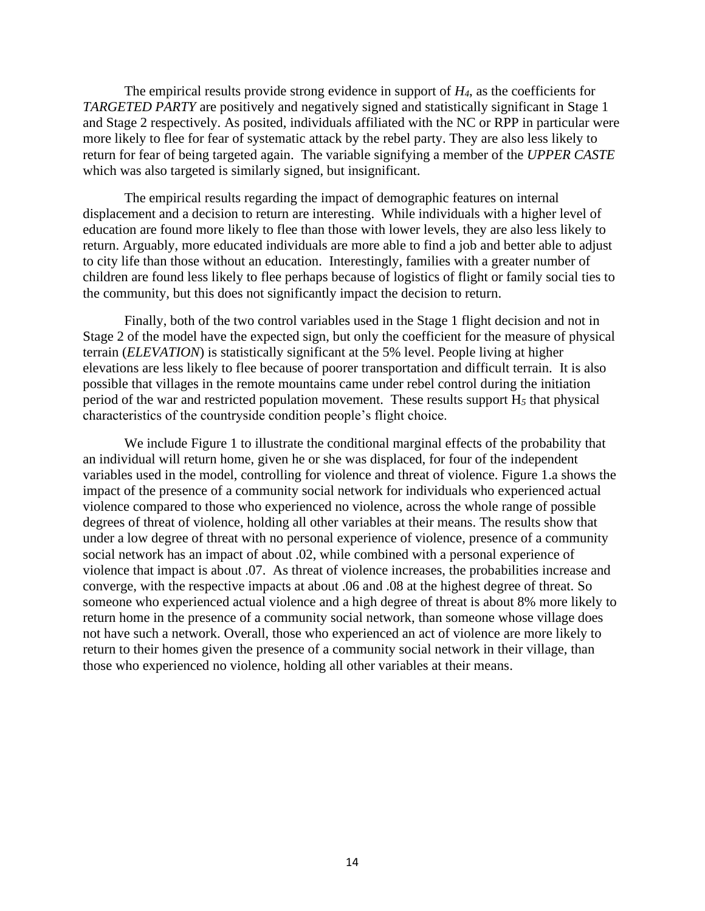The empirical results provide strong evidence in support of  $H_4$ , as the coefficients for *TARGETED PARTY* are positively and negatively signed and statistically significant in Stage 1 and Stage 2 respectively. As posited, individuals affiliated with the NC or RPP in particular were more likely to flee for fear of systematic attack by the rebel party. They are also less likely to return for fear of being targeted again. The variable signifying a member of the *UPPER CASTE* which was also targeted is similarly signed, but insignificant.

The empirical results regarding the impact of demographic features on internal displacement and a decision to return are interesting. While individuals with a higher level of education are found more likely to flee than those with lower levels, they are also less likely to return. Arguably, more educated individuals are more able to find a job and better able to adjust to city life than those without an education. Interestingly, families with a greater number of children are found less likely to flee perhaps because of logistics of flight or family social ties to the community, but this does not significantly impact the decision to return.

Finally, both of the two control variables used in the Stage 1 flight decision and not in Stage 2 of the model have the expected sign, but only the coefficient for the measure of physical terrain (*ELEVATION*) is statistically significant at the 5% level. People living at higher elevations are less likely to flee because of poorer transportation and difficult terrain. It is also possible that villages in the remote mountains came under rebel control during the initiation period of the war and restricted population movement. These results support H*<sup>5</sup>* that physical characteristics of the countryside condition people's flight choice.

We include Figure 1 to illustrate the conditional marginal effects of the probability that an individual will return home, given he or she was displaced, for four of the independent variables used in the model, controlling for violence and threat of violence. Figure 1.a shows the impact of the presence of a community social network for individuals who experienced actual violence compared to those who experienced no violence, across the whole range of possible degrees of threat of violence, holding all other variables at their means. The results show that under a low degree of threat with no personal experience of violence, presence of a community social network has an impact of about .02, while combined with a personal experience of violence that impact is about .07. As threat of violence increases, the probabilities increase and converge, with the respective impacts at about .06 and .08 at the highest degree of threat. So someone who experienced actual violence and a high degree of threat is about 8% more likely to return home in the presence of a community social network, than someone whose village does not have such a network. Overall, those who experienced an act of violence are more likely to return to their homes given the presence of a community social network in their village, than those who experienced no violence, holding all other variables at their means.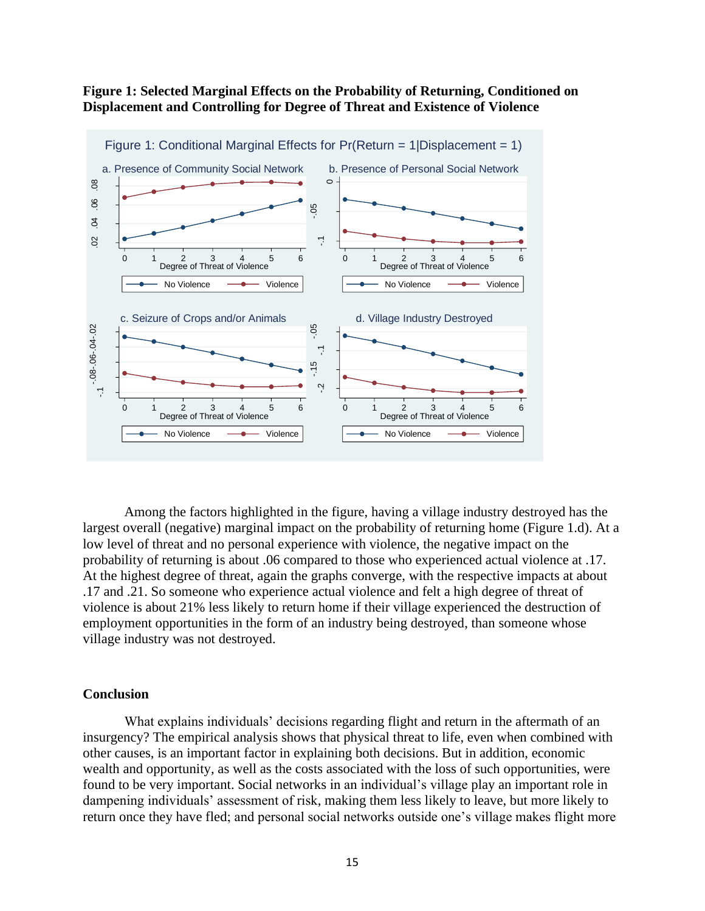## **Figure 1: Selected Marginal Effects on the Probability of Returning, Conditioned on Displacement and Controlling for Degree of Threat and Existence of Violence**



Among the factors highlighted in the figure, having a village industry destroyed has the largest overall (negative) marginal impact on the probability of returning home (Figure 1.d). At a low level of threat and no personal experience with violence, the negative impact on the probability of returning is about .06 compared to those who experienced actual violence at .17. At the highest degree of threat, again the graphs converge, with the respective impacts at about .17 and .21. So someone who experience actual violence and felt a high degree of threat of violence is about 21% less likely to return home if their village experienced the destruction of employment opportunities in the form of an industry being destroyed, than someone whose village industry was not destroyed.

#### **Conclusion**

What explains individuals' decisions regarding flight and return in the aftermath of an insurgency? The empirical analysis shows that physical threat to life, even when combined with other causes, is an important factor in explaining both decisions. But in addition, economic wealth and opportunity, as well as the costs associated with the loss of such opportunities, were found to be very important. Social networks in an individual's village play an important role in dampening individuals' assessment of risk, making them less likely to leave, but more likely to return once they have fled; and personal social networks outside one's village makes flight more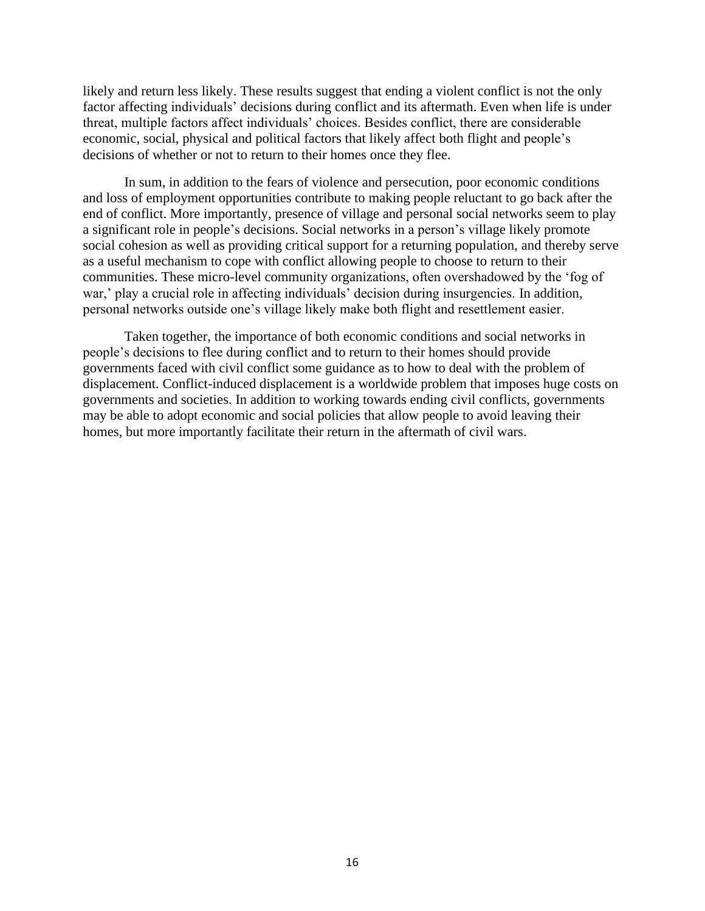likely and return less likely. These results suggest that ending a violent conflict is not the only factor affecting individuals' decisions during conflict and its aftermath. Even when life is under threat, multiple factors affect individuals' choices. Besides conflict, there are considerable economic, social, physical and political factors that likely affect both flight and people's decisions of whether or not to return to their homes once they flee.

In sum, in addition to the fears of violence and persecution, poor economic conditions and loss of employment opportunities contribute to making people reluctant to go back after the end of conflict. More importantly, presence of village and personal social networks seem to play a significant role in people's decisions. Social networks in a person's village likely promote social cohesion as well as providing critical support for a returning population, and thereby serve as a useful mechanism to cope with conflict allowing people to choose to return to their communities. These micro-level community organizations, often overshadowed by the 'fog of war,' play a crucial role in affecting individuals' decision during insurgencies. In addition, personal networks outside one's village likely make both flight and resettlement easier.

Taken together, the importance of both economic conditions and social networks in people's decisions to flee during conflict and to return to their homes should provide governments faced with civil conflict some guidance as to how to deal with the problem of displacement. Conflict-induced displacement is a worldwide problem that imposes huge costs on governments and societies. In addition to working towards ending civil conflicts, governments may be able to adopt economic and social policies that allow people to avoid leaving their homes, but more importantly facilitate their return in the aftermath of civil wars.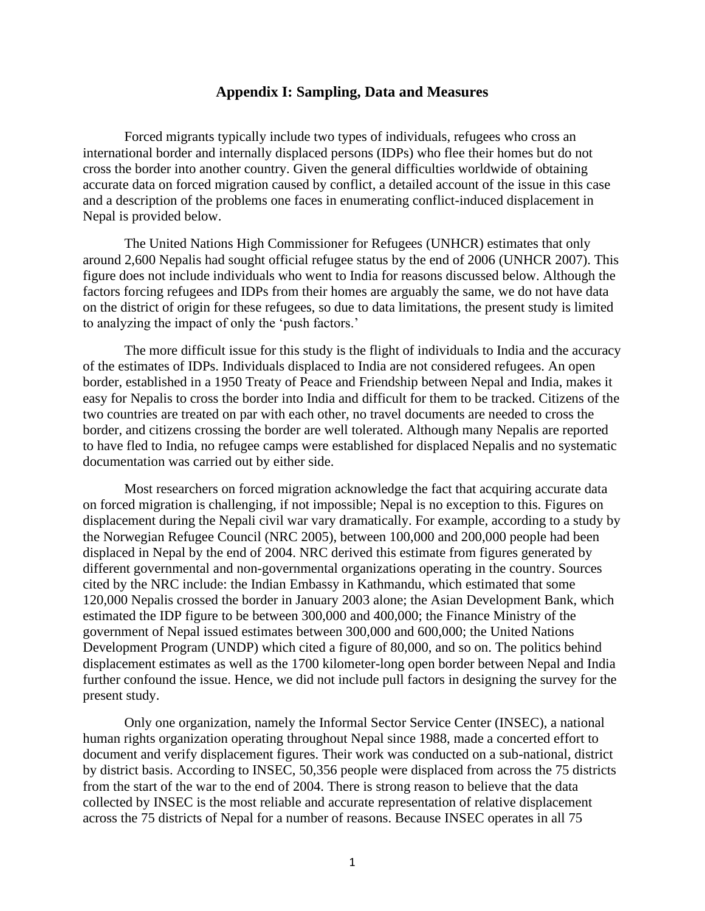#### **Appendix I: Sampling, Data and Measures**

Forced migrants typically include two types of individuals, refugees who cross an international border and internally displaced persons (IDPs) who flee their homes but do not cross the border into another country. Given the general difficulties worldwide of obtaining accurate data on forced migration caused by conflict, a detailed account of the issue in this case and a description of the problems one faces in enumerating conflict-induced displacement in Nepal is provided below.

The United Nations High Commissioner for Refugees (UNHCR) estimates that only around 2,600 Nepalis had sought official refugee status by the end of 2006 (UNHCR 2007). This figure does not include individuals who went to India for reasons discussed below. Although the factors forcing refugees and IDPs from their homes are arguably the same, we do not have data on the district of origin for these refugees, so due to data limitations, the present study is limited to analyzing the impact of only the 'push factors.'

The more difficult issue for this study is the flight of individuals to India and the accuracy of the estimates of IDPs. Individuals displaced to India are not considered refugees. An open border, established in a 1950 Treaty of Peace and Friendship between Nepal and India, makes it easy for Nepalis to cross the border into India and difficult for them to be tracked. Citizens of the two countries are treated on par with each other, no travel documents are needed to cross the border, and citizens crossing the border are well tolerated. Although many Nepalis are reported to have fled to India, no refugee camps were established for displaced Nepalis and no systematic documentation was carried out by either side.

Most researchers on forced migration acknowledge the fact that acquiring accurate data on forced migration is challenging, if not impossible; Nepal is no exception to this. Figures on displacement during the Nepali civil war vary dramatically. For example, according to a study by the Norwegian Refugee Council (NRC 2005), between 100,000 and 200,000 people had been displaced in Nepal by the end of 2004. NRC derived this estimate from figures generated by different governmental and non-governmental organizations operating in the country. Sources cited by the NRC include: the Indian Embassy in Kathmandu, which estimated that some 120,000 Nepalis crossed the border in January 2003 alone; the Asian Development Bank, which estimated the IDP figure to be between 300,000 and 400,000; the Finance Ministry of the government of Nepal issued estimates between 300,000 and 600,000; the United Nations Development Program (UNDP) which cited a figure of 80,000, and so on. The politics behind displacement estimates as well as the 1700 kilometer-long open border between Nepal and India further confound the issue. Hence, we did not include pull factors in designing the survey for the present study.

Only one organization, namely the Informal Sector Service Center (INSEC), a national human rights organization operating throughout Nepal since 1988, made a concerted effort to document and verify displacement figures. Their work was conducted on a sub-national, district by district basis. According to INSEC, 50,356 people were displaced from across the 75 districts from the start of the war to the end of 2004. There is strong reason to believe that the data collected by INSEC is the most reliable and accurate representation of relative displacement across the 75 districts of Nepal for a number of reasons. Because INSEC operates in all 75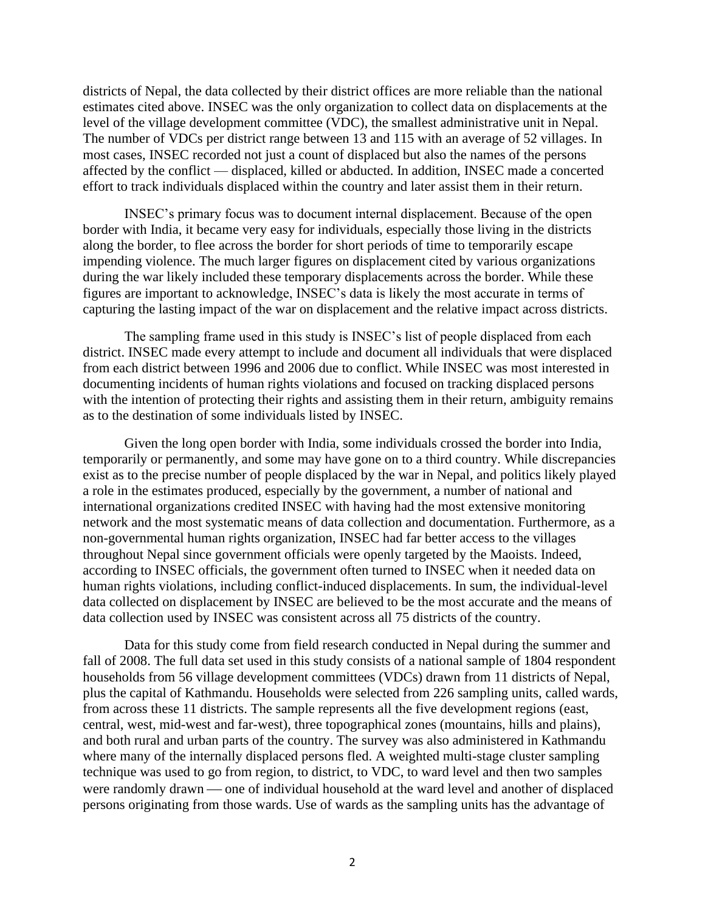districts of Nepal, the data collected by their district offices are more reliable than the national estimates cited above. INSEC was the only organization to collect data on displacements at the level of the village development committee (VDC), the smallest administrative unit in Nepal. The number of VDCs per district range between 13 and 115 with an average of 52 villages. In most cases, INSEC recorded not just a count of displaced but also the names of the persons affected by the conflict — displaced, killed or abducted. In addition, INSEC made a concerted effort to track individuals displaced within the country and later assist them in their return.

INSEC's primary focus was to document internal displacement. Because of the open border with India, it became very easy for individuals, especially those living in the districts along the border, to flee across the border for short periods of time to temporarily escape impending violence. The much larger figures on displacement cited by various organizations during the war likely included these temporary displacements across the border. While these figures are important to acknowledge, INSEC's data is likely the most accurate in terms of capturing the lasting impact of the war on displacement and the relative impact across districts.

The sampling frame used in this study is INSEC's list of people displaced from each district. INSEC made every attempt to include and document all individuals that were displaced from each district between 1996 and 2006 due to conflict. While INSEC was most interested in documenting incidents of human rights violations and focused on tracking displaced persons with the intention of protecting their rights and assisting them in their return, ambiguity remains as to the destination of some individuals listed by INSEC.

Given the long open border with India, some individuals crossed the border into India, temporarily or permanently, and some may have gone on to a third country. While discrepancies exist as to the precise number of people displaced by the war in Nepal, and politics likely played a role in the estimates produced, especially by the government, a number of national and international organizations credited INSEC with having had the most extensive monitoring network and the most systematic means of data collection and documentation. Furthermore, as a non-governmental human rights organization, INSEC had far better access to the villages throughout Nepal since government officials were openly targeted by the Maoists. Indeed, according to INSEC officials, the government often turned to INSEC when it needed data on human rights violations, including conflict-induced displacements. In sum, the individual-level data collected on displacement by INSEC are believed to be the most accurate and the means of data collection used by INSEC was consistent across all 75 districts of the country.

Data for this study come from field research conducted in Nepal during the summer and fall of 2008. The full data set used in this study consists of a national sample of 1804 respondent households from 56 village development committees (VDCs) drawn from 11 districts of Nepal, plus the capital of Kathmandu. Households were selected from 226 sampling units, called wards, from across these 11 districts. The sample represents all the five development regions (east, central, west, mid-west and far-west), three topographical zones (mountains, hills and plains), and both rural and urban parts of the country. The survey was also administered in Kathmandu where many of the internally displaced persons fled. A weighted multi-stage cluster sampling technique was used to go from region, to district, to VDC, to ward level and then two samples were randomly drawn — one of individual household at the ward level and another of displaced persons originating from those wards. Use of wards as the sampling units has the advantage of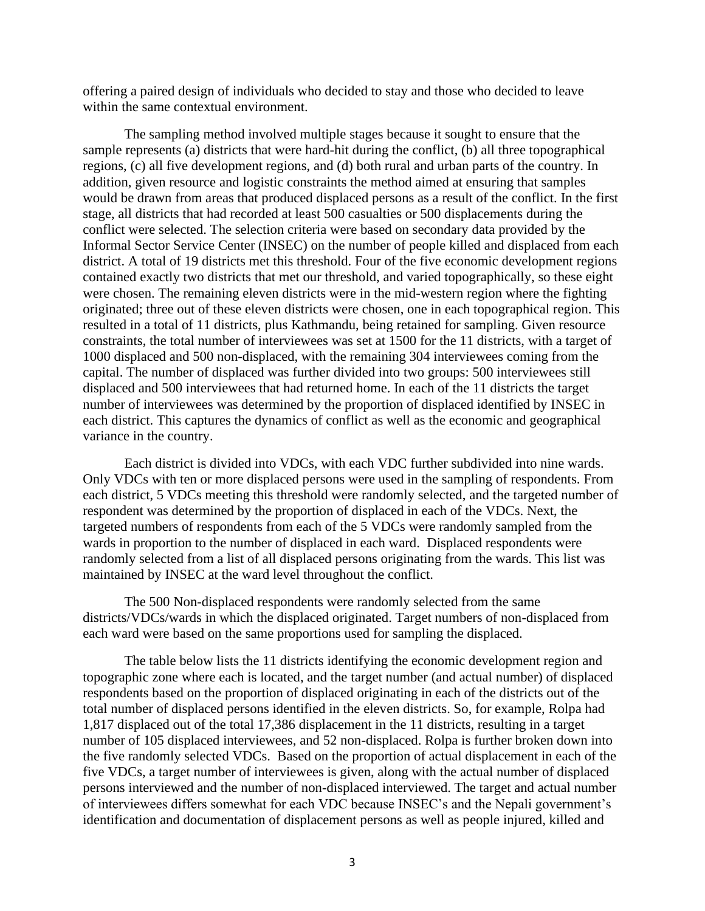offering a paired design of individuals who decided to stay and those who decided to leave within the same contextual environment.

The sampling method involved multiple stages because it sought to ensure that the sample represents (a) districts that were hard-hit during the conflict, (b) all three topographical regions, (c) all five development regions, and (d) both rural and urban parts of the country. In addition, given resource and logistic constraints the method aimed at ensuring that samples would be drawn from areas that produced displaced persons as a result of the conflict. In the first stage, all districts that had recorded at least 500 casualties or 500 displacements during the conflict were selected. The selection criteria were based on secondary data provided by the Informal Sector Service Center (INSEC) on the number of people killed and displaced from each district. A total of 19 districts met this threshold. Four of the five economic development regions contained exactly two districts that met our threshold, and varied topographically, so these eight were chosen. The remaining eleven districts were in the mid-western region where the fighting originated; three out of these eleven districts were chosen, one in each topographical region. This resulted in a total of 11 districts, plus Kathmandu, being retained for sampling. Given resource constraints, the total number of interviewees was set at 1500 for the 11 districts, with a target of 1000 displaced and 500 non-displaced, with the remaining 304 interviewees coming from the capital. The number of displaced was further divided into two groups: 500 interviewees still displaced and 500 interviewees that had returned home. In each of the 11 districts the target number of interviewees was determined by the proportion of displaced identified by INSEC in each district. This captures the dynamics of conflict as well as the economic and geographical variance in the country.

Each district is divided into VDCs, with each VDC further subdivided into nine wards. Only VDCs with ten or more displaced persons were used in the sampling of respondents. From each district, 5 VDCs meeting this threshold were randomly selected, and the targeted number of respondent was determined by the proportion of displaced in each of the VDCs. Next, the targeted numbers of respondents from each of the 5 VDCs were randomly sampled from the wards in proportion to the number of displaced in each ward. Displaced respondents were randomly selected from a list of all displaced persons originating from the wards. This list was maintained by INSEC at the ward level throughout the conflict.

The 500 Non-displaced respondents were randomly selected from the same districts/VDCs/wards in which the displaced originated. Target numbers of non-displaced from each ward were based on the same proportions used for sampling the displaced.

The table below lists the 11 districts identifying the economic development region and topographic zone where each is located, and the target number (and actual number) of displaced respondents based on the proportion of displaced originating in each of the districts out of the total number of displaced persons identified in the eleven districts. So, for example, Rolpa had 1,817 displaced out of the total 17,386 displacement in the 11 districts, resulting in a target number of 105 displaced interviewees, and 52 non-displaced. Rolpa is further broken down into the five randomly selected VDCs. Based on the proportion of actual displacement in each of the five VDCs, a target number of interviewees is given, along with the actual number of displaced persons interviewed and the number of non-displaced interviewed. The target and actual number of interviewees differs somewhat for each VDC because INSEC's and the Nepali government's identification and documentation of displacement persons as well as people injured, killed and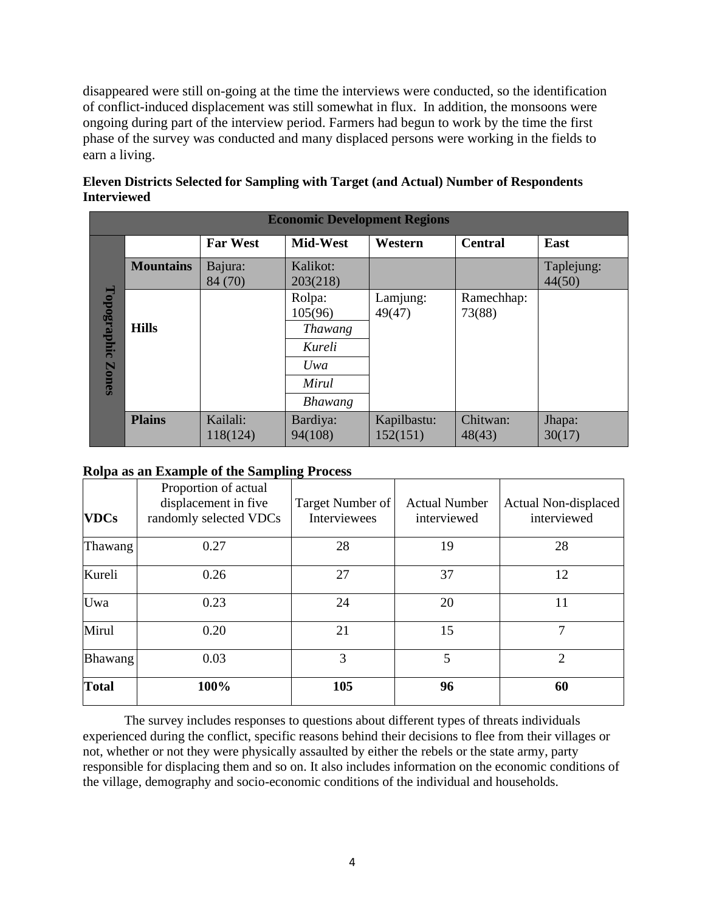disappeared were still on-going at the time the interviews were conducted, so the identification of conflict-induced displacement was still somewhat in flux. In addition, the monsoons were ongoing during part of the interview period. Farmers had begun to work by the time the first phase of the survey was conducted and many displaced persons were working in the fields to earn a living.

| Eleven Districts Selected for Sampling with Target (and Actual) Number of Respondents |  |
|---------------------------------------------------------------------------------------|--|
| <b>Interviewed</b>                                                                    |  |

| <b>Economic Development Regions</b> |                  |                      |                                                                          |                         |                      |                      |
|-------------------------------------|------------------|----------------------|--------------------------------------------------------------------------|-------------------------|----------------------|----------------------|
|                                     |                  | <b>Far West</b>      | Mid-West                                                                 | Western                 | <b>Central</b>       | East                 |
|                                     | <b>Mountains</b> | Bajura:<br>84 (70)   | Kalikot:<br>203(218)                                                     |                         |                      | Taplejung:<br>44(50) |
| Topographic<br>Zones                | <b>Hills</b>     |                      | Rolpa:<br>105(96)<br><i>Thawang</i><br>Kureli<br>Uwa<br>Mirul<br>Bhawang | Lamjung:<br>49(47)      | Ramechhap:<br>73(88) |                      |
|                                     | <b>Plains</b>    | Kailali:<br>118(124) | Bardiya:<br>94(108)                                                      | Kapilbastu:<br>152(151) | Chitwan:<br>48(43)   | Jhapa:<br>30(17)     |

## **Rolpa as an Example of the Sampling Process**

| <b>VDCs</b>    | Proportion of actual<br>displacement in five<br>randomly selected VDCs | Target Number of<br>Interviewees | <b>Actual Number</b><br>interviewed | Actual Non-displaced<br>interviewed |
|----------------|------------------------------------------------------------------------|----------------------------------|-------------------------------------|-------------------------------------|
| Thawang        | 0.27                                                                   | 28                               | 19                                  | 28                                  |
| Kureli         | 0.26                                                                   | 27                               | 37                                  | 12                                  |
| Uwa            | 0.23                                                                   | 24                               | 20                                  | 11                                  |
| Mirul          | 0.20                                                                   | 21                               | 15                                  | 7                                   |
| <b>Bhawang</b> | 0.03                                                                   | 3                                | 5                                   | $\overline{2}$                      |
| <b>Total</b>   | 100%                                                                   | 105                              | 96                                  | 60                                  |

The survey includes responses to questions about different types of threats individuals experienced during the conflict, specific reasons behind their decisions to flee from their villages or not, whether or not they were physically assaulted by either the rebels or the state army, party responsible for displacing them and so on. It also includes information on the economic conditions of the village, demography and socio-economic conditions of the individual and households.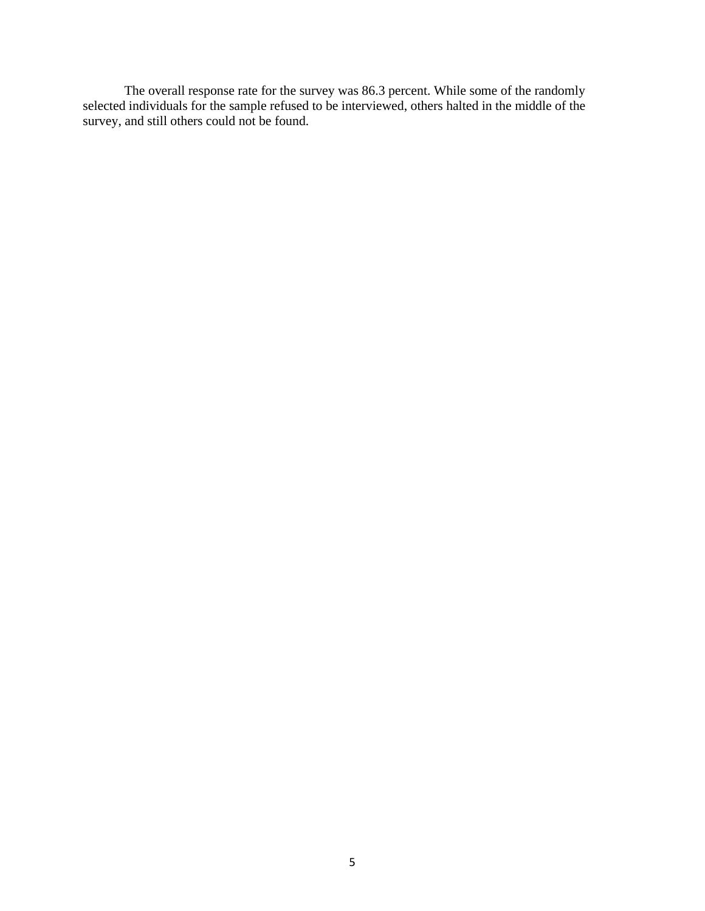The overall response rate for the survey was 86.3 percent. While some of the randomly selected individuals for the sample refused to be interviewed, others halted in the middle of the survey, and still others could not be found.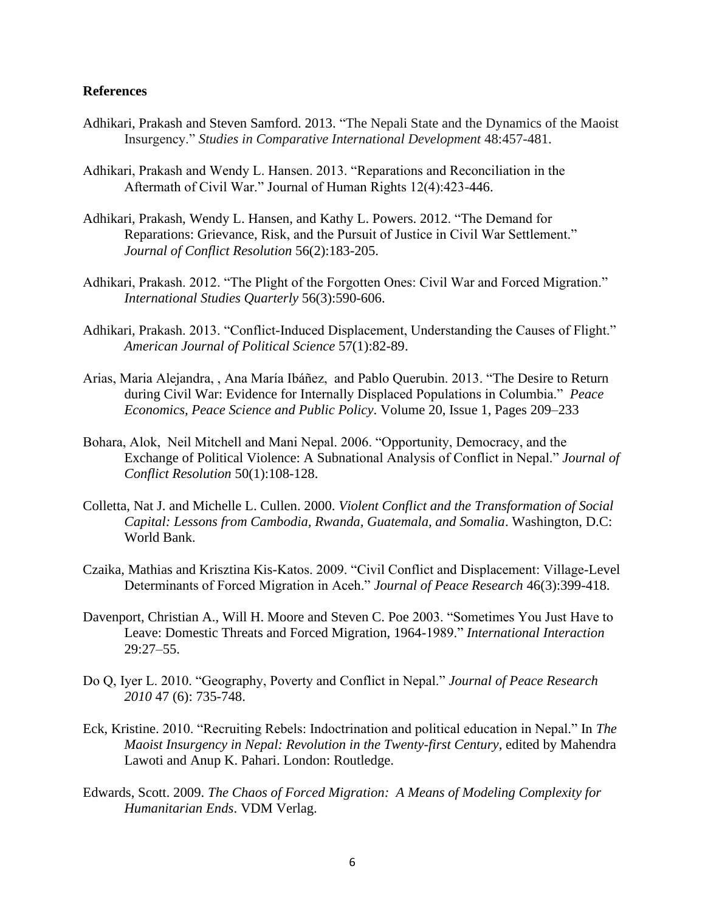#### **References**

- Adhikari, Prakash and Steven Samford. 2013. "The Nepali State and the Dynamics of the Maoist Insurgency." *Studies in Comparative International Development* 48:457-481.
- Adhikari, Prakash and Wendy L. Hansen. 2013. "Reparations and Reconciliation in the Aftermath of Civil War." Journal of Human Rights 12(4):423-446.
- Adhikari, Prakash, Wendy L. Hansen, and Kathy L. Powers. 2012. "The Demand for Reparations: Grievance, Risk, and the Pursuit of Justice in Civil War Settlement." *Journal of Conflict Resolution* 56(2):183-205.
- Adhikari, Prakash. 2012. "The Plight of the Forgotten Ones: Civil War and Forced Migration." *International Studies Quarterly* 56(3):590-606.
- Adhikari, Prakash. 2013. "Conflict-Induced Displacement, Understanding the Causes of Flight." *American Journal of Political Science* 57(1):82-89.
- Arias, Maria Alejandra, , Ana María Ibáñez, and Pablo Querubin. 2013. "The Desire to Return during Civil War: Evidence for Internally Displaced Populations in Columbia." *Peace Economics, Peace Science and Public Policy*. Volume 20, Issue 1, Pages 209–233
- Bohara, Alok, Neil Mitchell and Mani Nepal. 2006. "Opportunity, Democracy, and the Exchange of Political Violence: A Subnational Analysis of Conflict in Nepal." *Journal of Conflict Resolution* 50(1):108-128.
- Colletta, Nat J. and Michelle L. Cullen. 2000. *Violent Conflict and the Transformation of Social Capital: Lessons from Cambodia, Rwanda, Guatemala, and Somalia*. Washington, D.C: World Bank.
- Czaika, Mathias and Krisztina Kis-Katos. 2009. "Civil Conflict and Displacement: Village-Level Determinants of Forced Migration in Aceh." *Journal of Peace Research* 46(3):399-418.
- Davenport, Christian A., Will H. Moore and Steven C. Poe 2003. "Sometimes You Just Have to Leave: Domestic Threats and Forced Migration, 1964-1989." *International Interaction* 29:27–55.
- Do Q, Iyer L. 2010. "Geography, Poverty and Conflict in Nepal." *Journal of Peace Research 2010* 47 (6): 735-748.
- Eck, Kristine. 2010. "Recruiting Rebels: Indoctrination and political education in Nepal." In *The Maoist Insurgency in Nepal: Revolution in the Twenty-first Century*, edited by Mahendra Lawoti and Anup K. Pahari. London: Routledge.
- Edwards, Scott. 2009. *The Chaos of Forced Migration: A Means of Modeling Complexity for Humanitarian Ends*. VDM Verlag.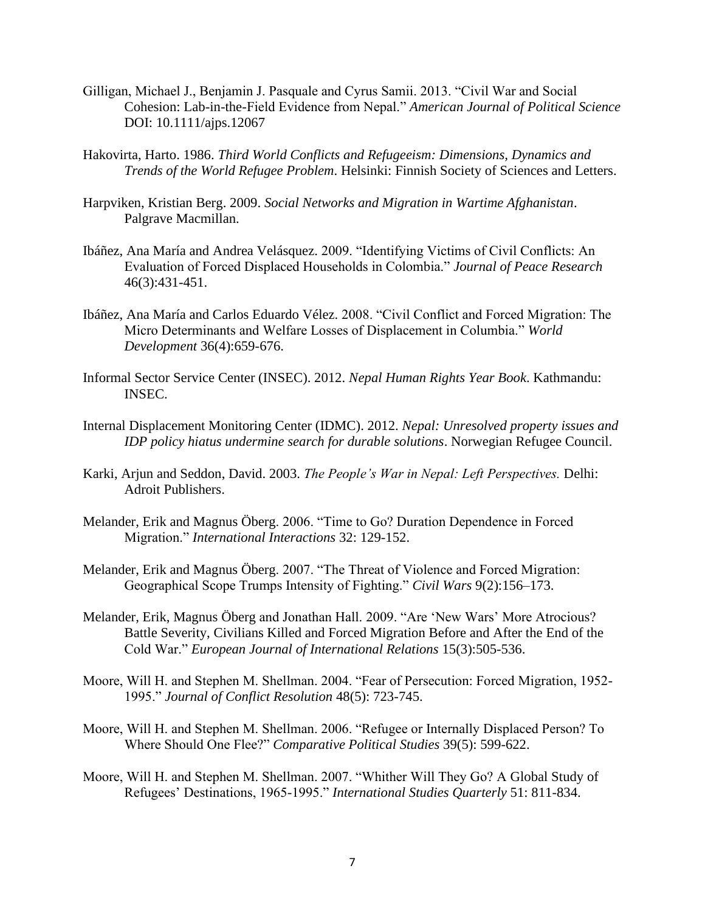- Gilligan, Michael J., Benjamin J. Pasquale and Cyrus Samii. 2013. "Civil War and Social Cohesion: Lab-in-the-Field Evidence from Nepal." *American Journal of Political Science* DOI: 10.1111/ajps.12067
- Hakovirta, Harto. 1986. *Third World Conflicts and Refugeeism: Dimensions, Dynamics and Trends of the World Refugee Problem*. Helsinki: Finnish Society of Sciences and Letters.
- Harpviken, Kristian Berg. 2009. *Social Networks and Migration in Wartime Afghanistan*. Palgrave Macmillan.
- Ibáñez, Ana María and Andrea Velásquez. 2009. "Identifying Victims of Civil Conflicts: An Evaluation of Forced Displaced Households in Colombia." *Journal of Peace Research* 46(3):431-451.
- Ibáñez, Ana María and Carlos Eduardo Vélez. 2008. "Civil Conflict and Forced Migration: The Micro Determinants and Welfare Losses of Displacement in Columbia." *World Development* 36(4):659-676.
- Informal Sector Service Center (INSEC). 2012. *Nepal Human Rights Year Book*. Kathmandu: INSEC.
- Internal Displacement Monitoring Center (IDMC). 2012. *Nepal: Unresolved property issues and IDP policy hiatus undermine search for durable solutions*. Norwegian Refugee Council.
- Karki, Arjun and Seddon, David. 2003. *The People's War in Nepal: Left Perspectives.* Delhi: Adroit Publishers.
- Melander, Erik and Magnus Öberg. 2006. "Time to Go? Duration Dependence in Forced Migration." *International Interactions* 32: 129-152.
- Melander, Erik and Magnus Öberg. 2007. "The Threat of Violence and Forced Migration: Geographical Scope Trumps Intensity of Fighting." *Civil Wars* 9(2):156–173.
- Melander, Erik, Magnus Öberg and Jonathan Hall. 2009. "Are 'New Wars' More Atrocious? Battle Severity, Civilians Killed and Forced Migration Before and After the End of the Cold War." *European Journal of International Relations* 15(3):505-536.
- Moore, Will H. and Stephen M. Shellman. 2004. "Fear of Persecution: Forced Migration, 1952- 1995." *Journal of Conflict Resolution* 48(5): 723-745.
- Moore, Will H. and Stephen M. Shellman. 2006. "Refugee or Internally Displaced Person? To Where Should One Flee?" *Comparative Political Studies* 39(5): 599-622.
- Moore, Will H. and Stephen M. Shellman. 2007. "Whither Will They Go? A Global Study of Refugees' Destinations, 1965-1995." *International Studies Quarterly* 51: 811-834.